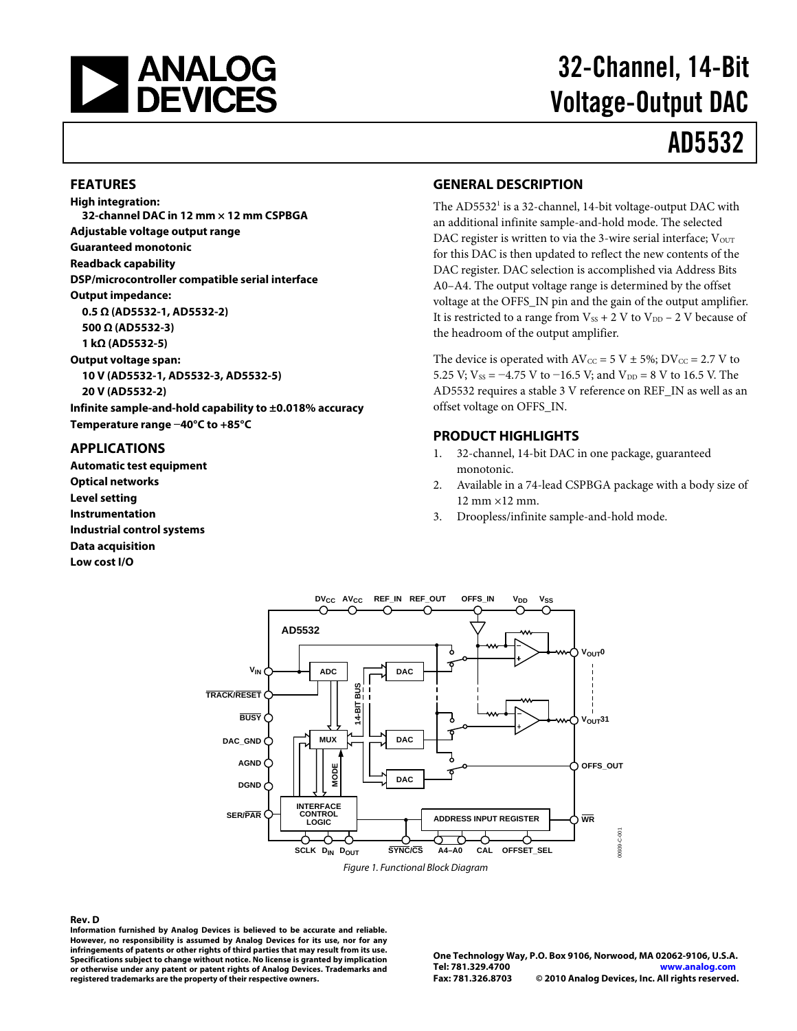

# 32-Channel, 14-Bit Voltage-Output DAC

# AD5532

#### **FEATURES**

**High integration: 32-channel DAC in 12 mm × 12 mm CSPBGA Adjustable voltage output range Guaranteed monotonic Readback capability DSP/microcontroller compatible serial interface Output impedance: 0.5 Ω (AD5532-1, AD5532-2) 500 Ω (AD5532-3)** 

**1 kΩ (AD5532-5) Output voltage span: 10 V (AD5532-1, AD5532-3, AD5532-5) 20 V (AD5532-2) Infinite sample-and-hold capability to ±0.018% accuracy Temperature range −40°C to +85°C** 

#### **APPLICATIONS**

**Automatic test equipment Optical networks Level setting Instrumentation Industrial control systems Data acquisition Low cost I/O** 

#### **GENERAL DESCRIPTION**

The AD5532<sup>1</sup> is a 32-channel, 14-bit voltage-output DAC with an additional infinite sample-and-hold mode. The selected DAC register is written to via the 3-wire serial interface;  $V_{\text{OUT}}$ for this DAC is then updated to reflect the new contents of the DAC register. DAC selection is accomplished via Address Bits A0–A4. The output voltage range is determined by the offset voltage at the OFFS\_IN pin and the gain of the output amplifier. It is restricted to a range from  $V_{SS}$  + 2 V to  $V_{DD}$  – 2 V because of the headroom of the output amplifier.

The device is operated with  $AV_{CC} = 5 V \pm 5\%; DV_{CC} = 2.7 V$  to 5.25 V;  $V_{SS} = -4.75$  V to  $-16.5$  V; and  $V_{DD} = 8$  V to 16.5 V. The AD5532 requires a stable 3 V reference on REF\_IN as well as an offset voltage on OFFS\_IN.

#### **PRODUCT HIGHLIGHTS**

- 1. 32-channel, 14-bit DAC in one package, guaranteed monotonic.
- 2. Available in a 74-lead CSPBGA package with a body size of 12 mm ×12 mm.
- 3. Droopless/infinite sample-and-hold mode.



Figure 1. Functional Block Diagram

#### **Rev. D**

**Information furnished by Analog Devices is believed to be accurate and reliable. However, no responsibility is assumed by Analog Devices for its use, nor for any infringements of patents or other rights of third parties that may result from its use. Specifications subject to change without notice. No license is granted by implication or otherwise under any patent or patent rights of Analog Devices. Trademarks and registered trademarks are the property of their respective owners.**

**One Technology Way, P.O. Box 9106, Norwood, MA 02062-9106, U.S.A. Tel: 781.329.4700 www.analog.com Fax: 781.326.8703 © 2010 Analog Devices, Inc. All rights reserved.**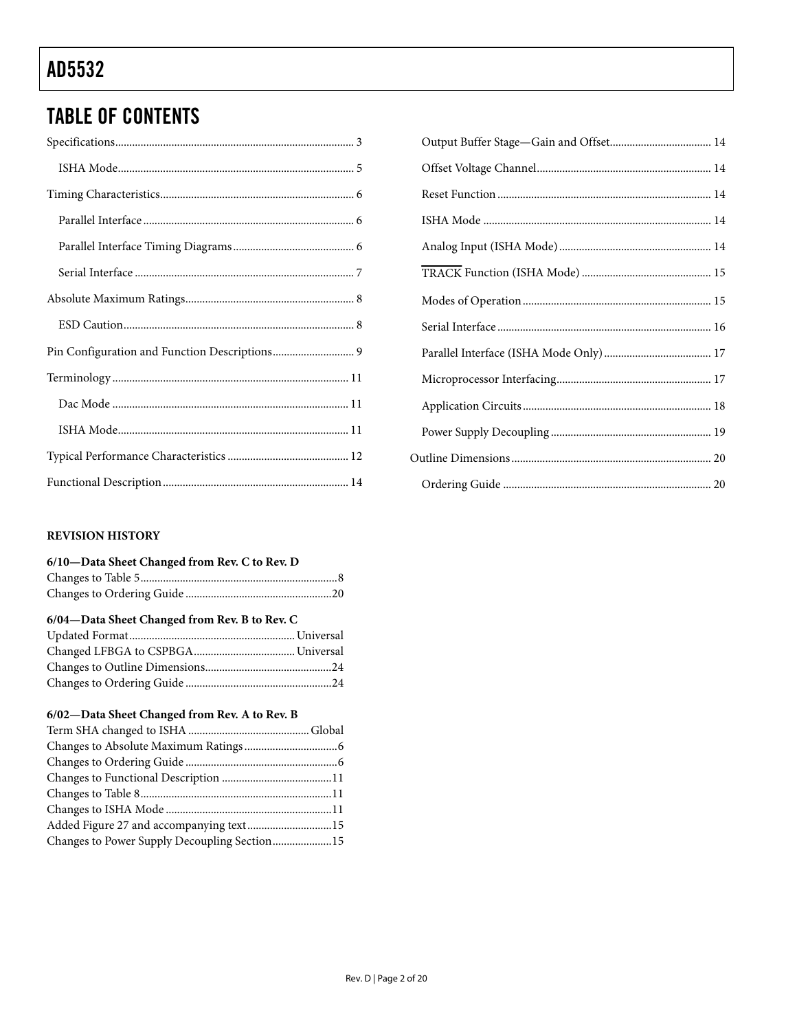# TABLE OF CONTENTS

## **REVISION HISTORY**

| 6/10-Data Sheet Changed from Rev. C to Rev. D |  |
|-----------------------------------------------|--|
|                                               |  |
|                                               |  |

## **6/04—Data Sheet Changed from Rev. B to Rev. C**

## **6/02—Data Sheet Changed from Rev. A to Rev. B**

| Added Figure 27 and accompanying text15      |  |
|----------------------------------------------|--|
| Changes to Power Supply Decoupling Section15 |  |
|                                              |  |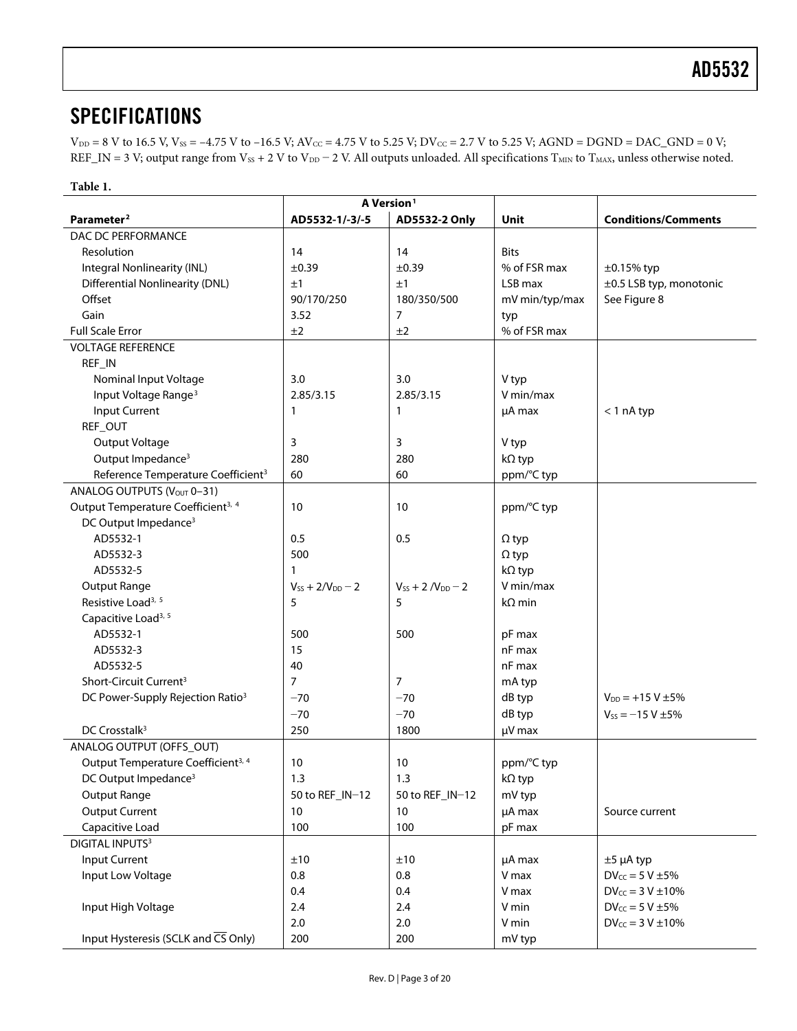# <span id="page-2-0"></span>**SPECIFICATIONS**

 $V_{DD} = 8$  V to 16.5 V,  $V_{SS} = -4.75$  V to  $-16.5$  V;  $AV_{CC} = 4.75$  V to 5.25 V;  $DV_{CC} = 2.7$  V to 5.25 V;  $AGND = DGND = DAC_GND = 0$  V; REF\_IN = 3 V; output range from  $V_{SS}$  + 2 V to  $V_{DD}$  – 2 V. All outputs unloaded. All specifications T<sub>MIN</sub> to T<sub>MAX</sub>, unless otherwise noted.

#### **Table 1.**

| A Version <sup>1</sup>                         |                                  |                            |                |                            |
|------------------------------------------------|----------------------------------|----------------------------|----------------|----------------------------|
| Parameter <sup>2</sup>                         | AD5532-1/-3/-5                   | AD5532-2 Only              | Unit           | <b>Conditions/Comments</b> |
| DAC DC PERFORMANCE                             |                                  |                            |                |                            |
| Resolution                                     | 14                               | 14                         | <b>Bits</b>    |                            |
| Integral Nonlinearity (INL)                    | $\pm 0.39$                       | ±0.39                      | % of FSR max   | $\pm 0.15\%$ typ           |
| <b>Differential Nonlinearity (DNL)</b>         | ±1                               | ±1                         | LSB max        | ±0.5 LSB typ, monotonic    |
| Offset                                         | 90/170/250                       | 180/350/500                | mV min/typ/max | See Figure 8               |
| Gain                                           | 3.52                             | 7                          | typ            |                            |
| <b>Full Scale Error</b>                        | ±2                               | ±2                         | % of FSR max   |                            |
| <b>VOLTAGE REFERENCE</b>                       |                                  |                            |                |                            |
| REF_IN                                         |                                  |                            |                |                            |
| Nominal Input Voltage                          | 3.0                              | 3.0                        | V typ          |                            |
| Input Voltage Range <sup>3</sup>               | 2.85/3.15                        | 2.85/3.15                  | V min/max      |                            |
| Input Current                                  | 1                                | 1                          | µA max         | $<$ 1 nA typ               |
| REF_OUT                                        |                                  |                            |                |                            |
| Output Voltage                                 | 3                                | 3                          | V typ          |                            |
| Output Impedance <sup>3</sup>                  | 280                              | 280                        | kΩ typ         |                            |
| Reference Temperature Coefficient <sup>3</sup> | 60                               | 60                         | ppm/°C typ     |                            |
| ANALOG OUTPUTS (VOUT 0-31)                     |                                  |                            |                |                            |
| Output Temperature Coefficient <sup>3, 4</sup> | 10                               | 10                         | ppm/°C typ     |                            |
| DC Output Impedance <sup>3</sup>               |                                  |                            |                |                            |
| AD5532-1                                       | 0.5                              | 0.5                        | $\Omega$ typ   |                            |
| AD5532-3                                       | 500                              |                            | $\Omega$ typ   |                            |
| AD5532-5                                       | 1                                |                            | $k\Omega$ typ  |                            |
| Output Range                                   | $V_{SS}$ + 2/V <sub>DD</sub> - 2 | $V_{SS}$ + 2 $/V_{DD}$ – 2 | V min/max      |                            |
| Resistive Load <sup>3, 5</sup>                 | 5                                | 5                          | $k\Omega$ min  |                            |
| Capacitive Load <sup>3, 5</sup>                |                                  |                            |                |                            |
| AD5532-1                                       | 500                              | 500                        | pF max         |                            |
| AD5532-3                                       | 15                               |                            | nF max         |                            |
| AD5532-5                                       | 40                               |                            | nF max         |                            |
| Short-Circuit Current <sup>3</sup>             | $\overline{7}$                   | 7                          | mA typ         |                            |
| DC Power-Supply Rejection Ratio <sup>3</sup>   | $-70$                            | $-70$                      | dB typ         | $V_{DD} = +15 V \pm 5\%$   |
|                                                | $-70$                            | $-70$                      | dB typ         | $V_{SS} = -15 V \pm 5\%$   |
| DC Crosstalk <sup>3</sup>                      | 250                              | 1800                       | $\mu$ V max    |                            |
| ANALOG OUTPUT (OFFS_OUT)                       |                                  |                            |                |                            |
| Output Temperature Coefficient <sup>3, 4</sup> | 10                               | 10                         | ppm/°C typ     |                            |
| DC Output Impedance <sup>3</sup>               | 1.3                              | 1.3                        | kΩ typ         |                            |
| Output Range                                   | 50 to REF_IN-12                  | 50 to REF_IN-12            | mV typ         |                            |
| <b>Output Current</b>                          | 10                               | 10                         | µA max         | Source current             |
| Capacitive Load                                | 100                              | 100                        | pF max         |                            |
| <b>DIGITAL INPUTS3</b>                         |                                  |                            |                |                            |
| <b>Input Current</b>                           | ±10                              | ±10                        | µA max         | $±5$ µA typ                |
| Input Low Voltage                              | 0.8                              | 0.8                        | V max          | $DV_{CC} = 5 V \pm 5\%$    |
|                                                | 0.4                              | 0.4                        | V max          | $DV_{CC} = 3 V \pm 10\%$   |
| Input High Voltage                             | 2.4                              | 2.4                        | V min          | $DV_{CC} = 5 V \pm 5\%$    |
|                                                | 2.0                              | 2.0                        | V min          | $DV_{CC} = 3 V \pm 10\%$   |
| Input Hysteresis (SCLK and CS Only)            | 200                              | 200                        | mV typ         |                            |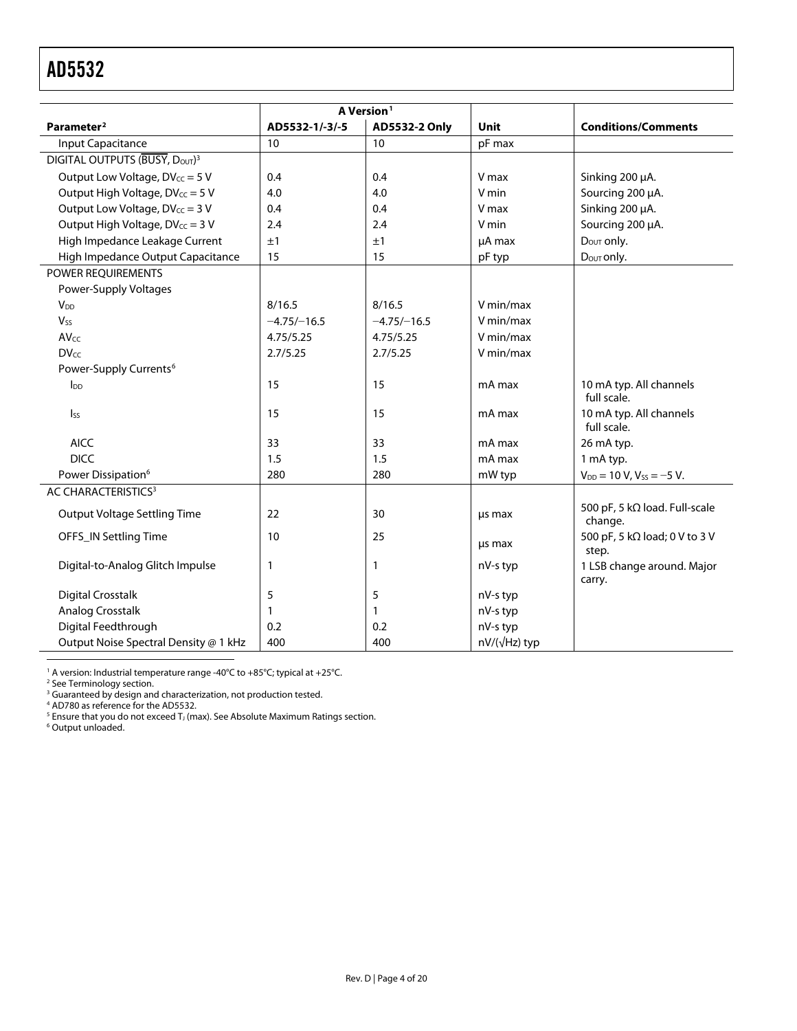<span id="page-3-0"></span>

| A Version <sup>1</sup>                     |                |               |              |                                                  |
|--------------------------------------------|----------------|---------------|--------------|--------------------------------------------------|
| Parameter <sup>2</sup>                     | AD5532-1/-3/-5 | AD5532-2 Only | <b>Unit</b>  | <b>Conditions/Comments</b>                       |
| Input Capacitance                          | 10             | 10            | pF max       |                                                  |
| DIGITAL OUTPUTS (BUSY, DOUT) <sup>3</sup>  |                |               |              |                                                  |
| Output Low Voltage, DV <sub>cc</sub> = 5 V | 0.4            | 0.4           | V max        | Sinking 200 µA.                                  |
| Output High Voltage, DVcc = 5 V            | 4.0            | 4.0           | V min        | Sourcing 200 µA.                                 |
| Output Low Voltage, DV <sub>cc</sub> = 3 V | 0.4            | 0.4           | V max        | Sinking 200 µA.                                  |
| Output High Voltage, DVcc = 3 V            | 2.4            | 2.4           | V min        | Sourcing 200 µA.                                 |
| High Impedance Leakage Current             | ±1             | ±1            | µA max       | $D_{\text{OUT}}$ only.                           |
| High Impedance Output Capacitance          | 15             | 15            | pF typ       | Dout only.                                       |
| POWER REQUIREMENTS                         |                |               |              |                                                  |
| Power-Supply Voltages                      |                |               |              |                                                  |
| $V_{DD}$                                   | 8/16.5         | 8/16.5        | V min/max    |                                                  |
| <b>Vss</b>                                 | $-4.75/-16.5$  | $-4.75/-16.5$ | V min/max    |                                                  |
| <b>AVcc</b>                                | 4.75/5.25      | 4.75/5.25     | V min/max    |                                                  |
| <b>DVcc</b>                                | 2.7/5.25       | 2.7/5.25      | V min/max    |                                                  |
| Power-Supply Currents <sup>6</sup>         |                |               |              |                                                  |
| $I_{DD}$                                   | 15             | 15            | mA max       | 10 mA typ. All channels<br>full scale.           |
| Iss                                        | 15             | 15            | mA max       | 10 mA typ. All channels<br>full scale.           |
| <b>AICC</b>                                | 33             | 33            | mA max       | 26 mA typ.                                       |
| <b>DICC</b>                                | 1.5            | 1.5           | mA max       | 1 mA typ.                                        |
| Power Dissipation <sup>6</sup>             | 280            | 280           | mW typ       | $V_{DD} = 10 V$ , $V_{SS} = -5 V$ .              |
| AC CHARACTERISTICS <sup>3</sup>            |                |               |              |                                                  |
| Output Voltage Settling Time               | 22             | 30            | us max       | 500 pF, 5 k $\Omega$ load. Full-scale<br>change. |
| OFFS_IN Settling Time                      | 10             | 25            | us max       | 500 pF, 5 kΩ load; 0 V to 3 V<br>step.           |
| Digital-to-Analog Glitch Impulse           | 1              | $\mathbf{1}$  | nV-s typ     | 1 LSB change around. Major<br>carry.             |
| <b>Digital Crosstalk</b>                   | 5              | 5             | nV-s typ     |                                                  |
| Analog Crosstalk                           | 1              | $\mathbf{1}$  | nV-s typ     |                                                  |
| Digital Feedthrough                        | 0.2            | 0.2           | nV-s typ     |                                                  |
| Output Noise Spectral Density @ 1 kHz      | 400            | 400           | nV/(√Hz) typ |                                                  |

<sup>1</sup> A version: Industrial temperature range -40°C to +85°C; typical at +25°C.<br><sup>2</sup> Se[e Terminology](#page-10-1) section.<br><sup>3</sup> Guaranteed by design and characterization, not production tested.<br><sup>4</sup> AD780 as reference for the AD5532.<br><sup>5</sup> E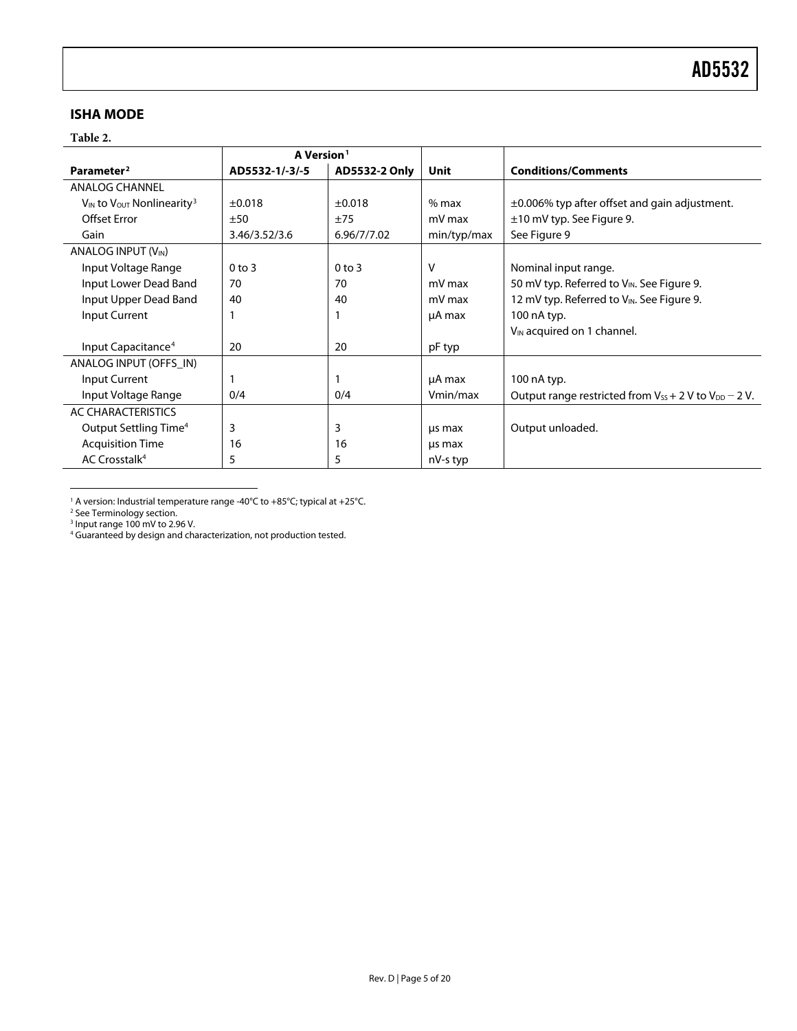## <span id="page-4-0"></span>**ISHA MODE**

#### **Table 2.**

|                                                 | A Version <sup>1</sup> |               |             |                                                                |
|-------------------------------------------------|------------------------|---------------|-------------|----------------------------------------------------------------|
| Parameter <sup>2</sup>                          | AD5532-1/-3/-5         | AD5532-2 Only | Unit        | <b>Conditions/Comments</b>                                     |
| <b>ANALOG CHANNEL</b>                           |                        |               |             |                                                                |
| $V_{IN}$ to $V_{OUT}$ Nonlinearity <sup>3</sup> | $\pm 0.018$            | $\pm 0.018$   | $%$ max     | $\pm 0.006\%$ typ after offset and gain adjustment.            |
| <b>Offset Error</b>                             | ±50                    | ±75           | mV max      | ±10 mV typ. See Figure 9.                                      |
| Gain                                            | 3.46/3.52/3.6          | 6.96/7/7.02   | min/typ/max | See Figure 9                                                   |
| ANALOG INPUT (V <sub>IN</sub> )                 |                        |               |             |                                                                |
| Input Voltage Range                             | $0$ to $3$             | $0$ to $3$    | v           | Nominal input range.                                           |
| Input Lower Dead Band                           | 70                     | 70            | mV max      | 50 mV typ. Referred to VIN. See Figure 9.                      |
| Input Upper Dead Band                           | 40                     | 40            | mV max      | 12 mV typ. Referred to V <sub>IN</sub> . See Figure 9.         |
| Input Current                                   |                        |               | µA max      | 100 nA typ.                                                    |
|                                                 |                        |               |             | V <sub>IN</sub> acquired on 1 channel.                         |
| Input Capacitance <sup>4</sup>                  | 20                     | 20            | pF typ      |                                                                |
| ANALOG INPUT (OFFS IN)                          |                        |               |             |                                                                |
| Input Current                                   |                        |               | µA max      | 100 nA typ.                                                    |
| Input Voltage Range                             | 0/4                    | 0/4           | Vmin/max    | Output range restricted from $V_{SS}$ + 2 V to $V_{DD}$ – 2 V. |
| AC CHARACTERISTICS                              |                        |               |             |                                                                |
| Output Settling Time <sup>4</sup>               | 3                      | 3             | us max      | Output unloaded.                                               |
| <b>Acquisition Time</b>                         | 16                     | 16            | us max      |                                                                |
| AC Crosstalk <sup>4</sup>                       | 5                      | 5             | nV-s typ    |                                                                |

<sup>1</sup> A version: Industrial temperature range -40℃ to +85℃; typical at +25℃.<br><sup>2</sup> Se[e Terminology](#page-10-1) section.<br><sup>3</sup> Input range 100 mV to 2.96 V.<br><sup>4</sup> Guaranteed by design and characterization, not production tested.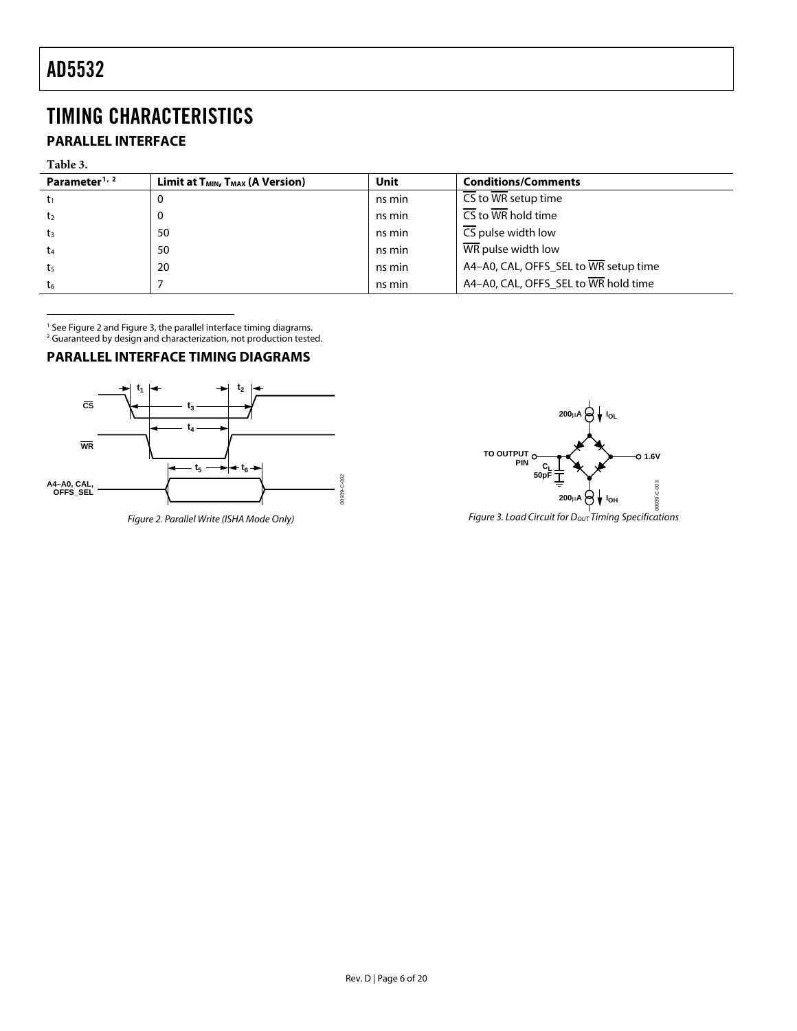# <span id="page-5-1"></span><span id="page-5-0"></span>TIMING CHARACTERISTICS

# **PARALLEL INTERFACE**

#### **Table 3.**

| Parameter <sup>1, 2</sup> | Limit at $T_{MIN}$ , $T_{MAX}$ (A Version) | Unit   | <b>Conditions/Comments</b>             |
|---------------------------|--------------------------------------------|--------|----------------------------------------|
|                           | O                                          | ns min | CS to WR setup time                    |
| t2                        | U                                          | ns min | $\overline{\text{CS}}$ to WR hold time |
| tз                        | 50                                         | ns min | CS pulse width low                     |
| t4                        | 50                                         | ns min | WR pulse width low                     |
| ts                        | 20                                         | ns min | A4-A0, CAL, OFFS_SEL to WR setup time  |
| t6                        |                                            | ns min | A4-A0, CAL, OFFS_SEL to WR hold time   |

<sup>1</sup> See Figure 2 and Figure 3, the parallel interface timing diagrams.<br><sup>2</sup> Guaranteed by design and characterization, not production tested.

#### **PARALLEL INTERFACE TIMING DIAGRAMS**



Figure 2. Parallel Write (ISHA Mode Only)

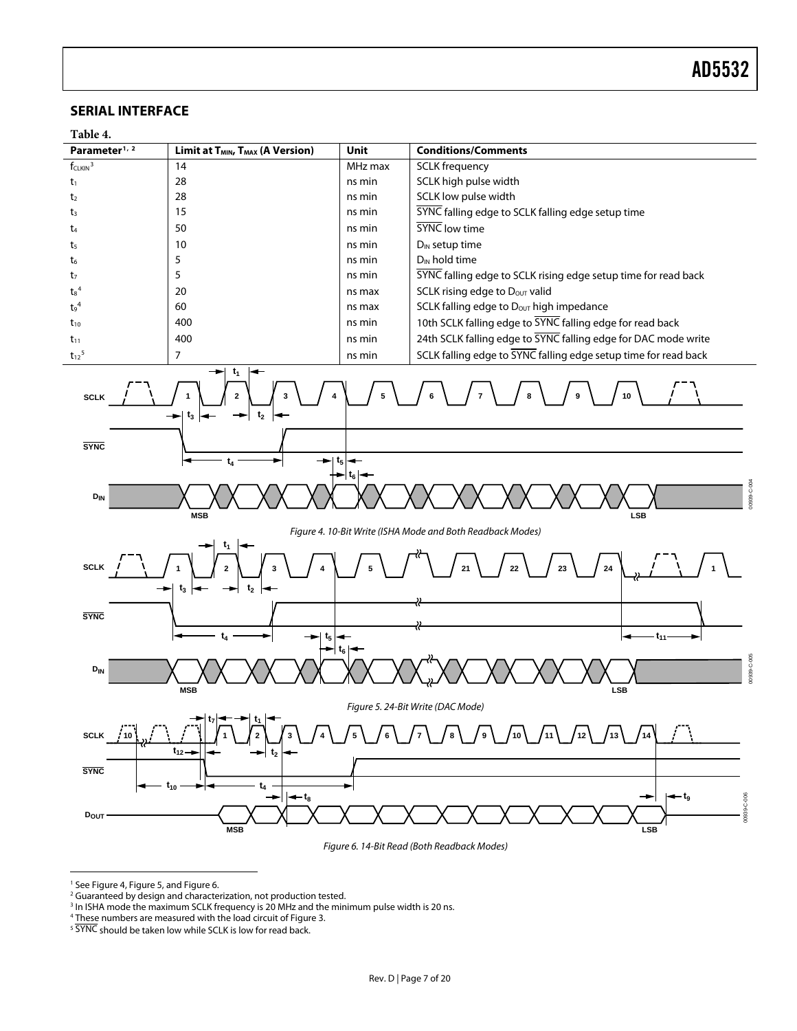# <span id="page-6-0"></span>**SERIAL INTERFACE**



Figure 6. 14-Bit Read (Both Readback Modes)

<sup>1</sup> See Figure 4, Figure 5, and Figure 6.

<span id="page-6-3"></span><span id="page-6-2"></span><span id="page-6-1"></span> $\overline{a}$ 

<sup>2</sup> Guaranteed by design and characterization, not production tested.

 $^3$  In ISHA mode the maximum SCLK frequency is 20 MHz and the minimum pulse width is 20 ns.<br>4 These numbers are measured with the load circuit of Figure 3

<sup>&</sup>lt;sup>4</sup> These numbers are measured with the load circuit of [Figure 3.](#page-5-1)  $5$  SYNC should be taken low while SCLK is low for read back.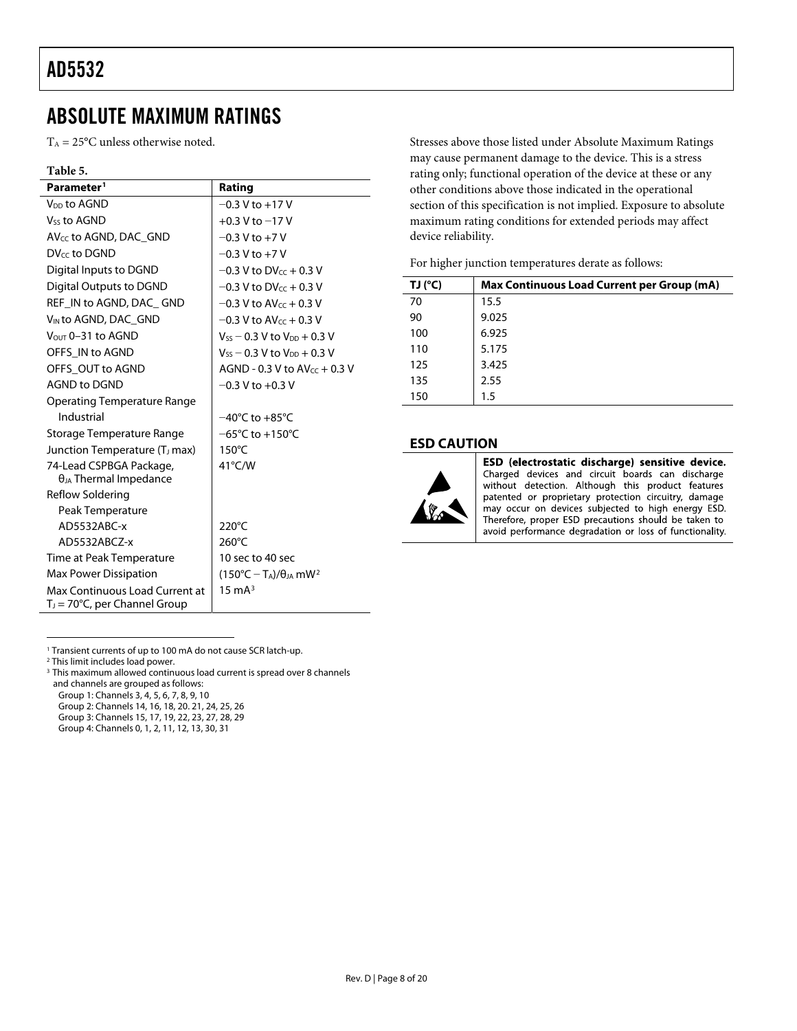# <span id="page-7-1"></span><span id="page-7-0"></span>ABSOLUTE MAXIMUM RATINGS

 $T_A = 25$ °C unless otherwise noted.

#### **Table 5.**

| Parameter <sup>1</sup>                                                     | Rating                                          |
|----------------------------------------------------------------------------|-------------------------------------------------|
| V <sub>DD</sub> to AGND                                                    | $-0.3$ V to $+17$ V                             |
| Vss to AGND                                                                | $+0.3$ V to $-17$ V                             |
| $AV_{cc}$ to AGND, DAC GND                                                 | $-0.3$ V to $+7$ V                              |
| DV <sub>cc</sub> to DGND                                                   | $-0.3$ V to $+7$ V                              |
| Digital Inputs to DGND                                                     | $-0.3$ V to DV <sub>cc</sub> + 0.3 V            |
| Digital Outputs to DGND                                                    | $-0.3$ V to DV $cc + 0.3$ V                     |
| REF IN to AGND, DAC GND                                                    | $-0.3$ V to AV <sub>cc</sub> + 0.3 V            |
| V <sub>IN</sub> to AGND, DAC GND                                           | $-0.3$ V to AV $cc + 0.3$ V                     |
| $V_{\text{OUT}}$ 0-31 to AGND                                              | $V_{SS}$ – 0.3 V to $V_{DD}$ + 0.3 V            |
| OFFS IN to AGND                                                            | $V_{SS}$ – 0.3 V to $V_{DD}$ + 0.3 V            |
| OFFS OUT to AGND                                                           | AGND - 0.3 V to $AV_{CC}$ + 0.3 V               |
| <b>AGND to DGND</b>                                                        | $-0.3$ V to $+0.3$ V                            |
| <b>Operating Temperature Range</b>                                         |                                                 |
| Industrial                                                                 | $-40^{\circ}$ C to $+85^{\circ}$ C              |
| Storage Temperature Range                                                  | $-65^{\circ}$ C to $+150^{\circ}$ C             |
| Junction Temperature (T <sub>J</sub> max)                                  | $150^{\circ}$ C                                 |
| 74-Lead CSPBGA Package,                                                    | $41^{\circ}$ C/W                                |
| $\theta_{JA}$ Thermal Impedance                                            |                                                 |
| Reflow Soldering                                                           |                                                 |
| Peak Temperature                                                           |                                                 |
| AD5532ABC-x                                                                | $220^{\circ}$ C                                 |
| AD5532ABCZ-x                                                               | $260^{\circ}$ C                                 |
| Time at Peak Temperature                                                   | 10 sec to 40 sec                                |
| Max Power Dissipation                                                      | $(150^{\circ}C - T_A)/\theta_A$ mW <sup>2</sup> |
| Max Continuous Load Current at<br>T <sub>J</sub> = 70°C, per Channel Group | $15 \text{ mA}^3$                               |

Stresses above those listed under Absolute Maximum Ratings may cause permanent damage to the device. This is a stress rating only; functional operation of the device at these or any other conditions above those indicated in the operational section of this specification is not implied. Exposure to absolute maximum rating conditions for extended periods may affect device reliability.

For higher junction temperatures derate as follows:

| TJ (°C) | <b>Max Continuous Load Current per Group (mA)</b> |
|---------|---------------------------------------------------|
| 70      | 15.5                                              |
| 90      | 9.025                                             |
| 100     | 6.925                                             |
| 110     | 5.175                                             |
| 125     | 3.425                                             |
| 135     | 2.55                                              |
| 150     | 1.5                                               |

#### **ESD CAUTION**



ESD (electrostatic discharge) sensitive device. Charged devices and circuit boards can discharge without detection. Although this product features patented or proprietary protection circuitry, damage may occur on devices subjected to high energy ESD. Therefore, proper ESD precautions should be taken to avoid performance degradation or loss of functionality.

1 Transient currents of up to 100 mA do not cause SCR latch-up.<br><sup>2</sup> This limit includes load power.

<sup>2</sup> This limit includes load power.

<sup>3</sup> This maximum allowed continuous load current is spread over 8 channels and channels are grouped as follows:

Group 1: Channels 3, 4, 5, 6, 7, 8, 9, 10

Group 2: Channels 14, 16, 18, 20. 21, 24, 25, 26 Group 3: Channels 15, 17, 19, 22, 23, 27, 28, 29

Group 4: Channels 0, 1, 2, 11, 12, 13, 30, 31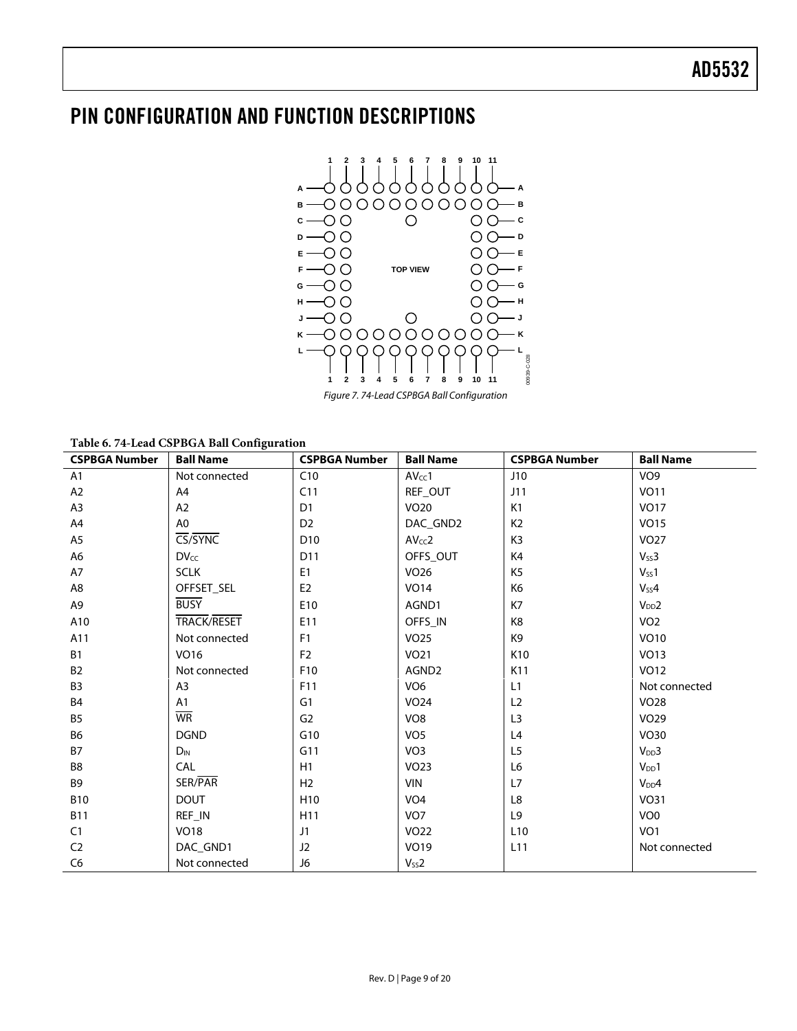# <span id="page-8-0"></span>PIN CONFIGURATION AND FUNCTION DESCRIPTIONS



Figure 7. 74-Lead CSPBGA Ball Configuration

**Table 6. 74-Lead CSPBGA Ball Configuration** 

| <b>CSPBGA Number</b> | <b>Ball Name</b>   | <b>CSPBGA Number</b> | <b>Ball Name</b>   | <b>CSPBGA Number</b> | <b>Ball Name</b>  |
|----------------------|--------------------|----------------------|--------------------|----------------------|-------------------|
| A1                   | Not connected      | C10                  | AV <sub>cc</sub> 1 | J10                  | VO <sub>9</sub>   |
| A2                   | A4                 | C11                  | REF OUT            | J11                  | <b>VO11</b>       |
| A <sub>3</sub>       | A2                 | D <sub>1</sub>       | <b>VO20</b>        | K1                   | <b>VO17</b>       |
| A4                   | A0                 | D <sub>2</sub>       | DAC_GND2           | K <sub>2</sub>       | <b>VO15</b>       |
| A <sub>5</sub>       | CS/SYNC            | D <sub>10</sub>      | AV <sub>CC</sub> 2 | K3                   | <b>VO27</b>       |
| A6                   | <b>DVcc</b>        | D11                  | OFFS_OUT           | K4                   | $V_{SS}$ 3        |
| A7                   | <b>SCLK</b>        | E <sub>1</sub>       | VO <sub>26</sub>   | K5                   | $V_{SS}1$         |
| A8                   | OFFSET SEL         | E <sub>2</sub>       | <b>VO14</b>        | K6                   | $V_{SS}4$         |
| A9                   | <b>BUSY</b>        | E10                  | AGND1              | K7                   | V <sub>DD</sub> 2 |
| A10                  | <b>TRACK/RESET</b> | E11                  | OFFS IN            | K <sub>8</sub>       | VO <sub>2</sub>   |
| A11                  | Not connected      | F <sub>1</sub>       | <b>VO25</b>        | K9                   | VO10              |
| <b>B1</b>            | VO16               | F <sub>2</sub>       | <b>VO21</b>        | K <sub>10</sub>      | <b>VO13</b>       |
| <b>B2</b>            | Not connected      | F10                  | AGND2              | K11                  | <b>VO12</b>       |
| B <sub>3</sub>       | A <sub>3</sub>     | F11                  | VO <sub>6</sub>    | L1                   | Not connected     |
| <b>B4</b>            | A <sub>1</sub>     | G <sub>1</sub>       | <b>VO24</b>        | L2                   | <b>VO28</b>       |
| <b>B5</b>            | <b>WR</b>          | G <sub>2</sub>       | VO <sub>8</sub>    | L <sub>3</sub>       | VO <sub>29</sub>  |
| <b>B6</b>            | <b>DGND</b>        | G10                  | VO <sub>5</sub>    | L4                   | <b>VO30</b>       |
| <b>B7</b>            | $D_{IN}$           | G11                  | VO <sub>3</sub>    | L <sub>5</sub>       | $V_{DD}3$         |
| B8                   | <b>CAL</b>         | H1                   | <b>VO23</b>        | L6                   | $V_{DD}1$         |
| B <sub>9</sub>       | SER/PAR            | H <sub>2</sub>       | <b>VIN</b>         | L7                   | $V_{DD}4$         |
| <b>B10</b>           | <b>DOUT</b>        | H <sub>10</sub>      | VO <sub>4</sub>    | L8                   | <b>VO31</b>       |
| <b>B11</b>           | REF_IN             | H11                  | VO <sub>7</sub>    | L <sub>9</sub>       | VO <sub>0</sub>   |
| C1                   | <b>VO18</b>        | J1                   | <b>VO22</b>        | L <sub>10</sub>      | VO <sub>1</sub>   |
| C <sub>2</sub>       | DAC_GND1           | J <sub>2</sub>       | VO19               | L <sub>11</sub>      | Not connected     |
| C <sub>6</sub>       | Not connected      | J6                   | $V_{SS}$ 2         |                      |                   |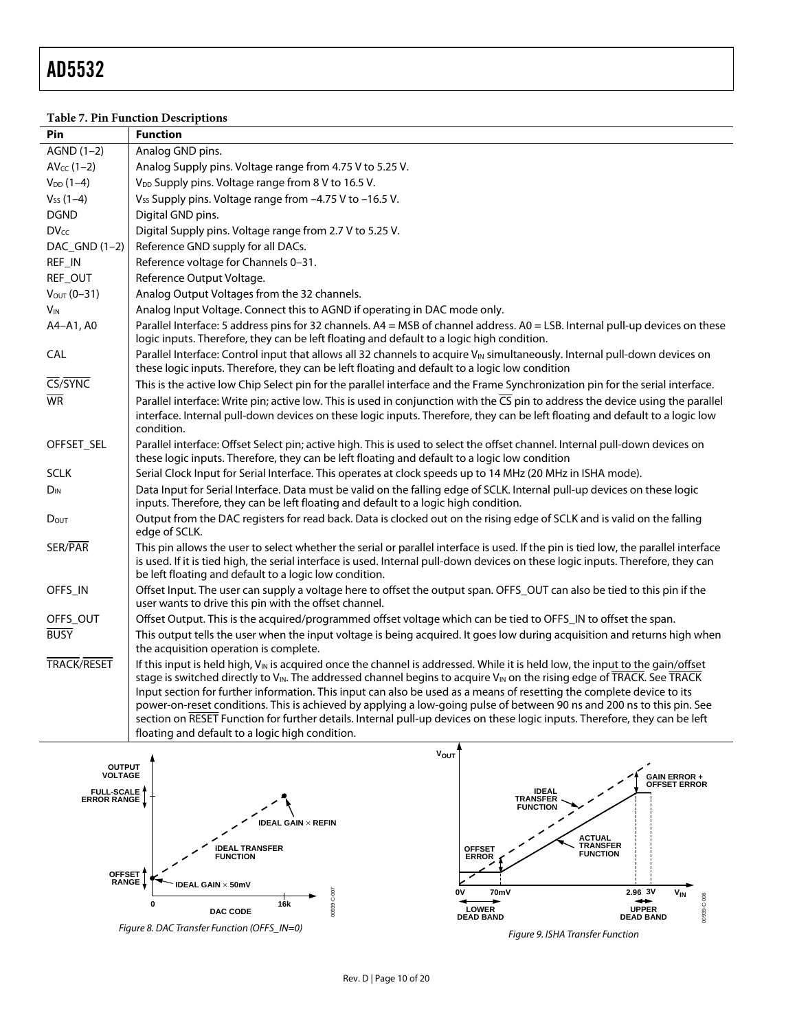<span id="page-9-1"></span><span id="page-9-0"></span> $\overline{a}$ 

# **Table 7. Pin Function Descriptions**

| Pin                    | <b>Function</b>                                                                                                                                                                                                                                                                                                                                                                                                                                                                                                                                                                                                                                                                                                        |
|------------------------|------------------------------------------------------------------------------------------------------------------------------------------------------------------------------------------------------------------------------------------------------------------------------------------------------------------------------------------------------------------------------------------------------------------------------------------------------------------------------------------------------------------------------------------------------------------------------------------------------------------------------------------------------------------------------------------------------------------------|
| $AGND(1-2)$            | Analog GND pins.                                                                                                                                                                                                                                                                                                                                                                                                                                                                                                                                                                                                                                                                                                       |
| $AV_{CC}$ (1-2)        | Analog Supply pins. Voltage range from 4.75 V to 5.25 V.                                                                                                                                                                                                                                                                                                                                                                                                                                                                                                                                                                                                                                                               |
| $V_{DD}$ (1-4)         | V <sub>DD</sub> Supply pins. Voltage range from 8 V to 16.5 V.                                                                                                                                                                                                                                                                                                                                                                                                                                                                                                                                                                                                                                                         |
| $V_{SS}$ (1-4)         | V <sub>SS</sub> Supply pins. Voltage range from -4.75 V to -16.5 V.                                                                                                                                                                                                                                                                                                                                                                                                                                                                                                                                                                                                                                                    |
| <b>DGND</b>            | Digital GND pins.                                                                                                                                                                                                                                                                                                                                                                                                                                                                                                                                                                                                                                                                                                      |
| $DV_{cc}$              | Digital Supply pins. Voltage range from 2.7 V to 5.25 V.                                                                                                                                                                                                                                                                                                                                                                                                                                                                                                                                                                                                                                                               |
| DAC_GND (1-2)          | Reference GND supply for all DACs.                                                                                                                                                                                                                                                                                                                                                                                                                                                                                                                                                                                                                                                                                     |
| REF_IN                 | Reference voltage for Channels 0-31.                                                                                                                                                                                                                                                                                                                                                                                                                                                                                                                                                                                                                                                                                   |
| REF_OUT                | Reference Output Voltage.                                                                                                                                                                                                                                                                                                                                                                                                                                                                                                                                                                                                                                                                                              |
| $V_{OUT}$ (0-31)       | Analog Output Voltages from the 32 channels.                                                                                                                                                                                                                                                                                                                                                                                                                                                                                                                                                                                                                                                                           |
| <b>V<sub>IN</sub></b>  | Analog Input Voltage. Connect this to AGND if operating in DAC mode only.                                                                                                                                                                                                                                                                                                                                                                                                                                                                                                                                                                                                                                              |
| A4-A1, A0              | Parallel Interface: 5 address pins for 32 channels. A4 = MSB of channel address. A0 = LSB. Internal pull-up devices on these<br>logic inputs. Therefore, they can be left floating and default to a logic high condition.                                                                                                                                                                                                                                                                                                                                                                                                                                                                                              |
| <b>CAL</b>             | Parallel Interface: Control input that allows all 32 channels to acquire VIN simultaneously. Internal pull-down devices on<br>these logic inputs. Therefore, they can be left floating and default to a logic low condition                                                                                                                                                                                                                                                                                                                                                                                                                                                                                            |
| CS/SYNC                | This is the active low Chip Select pin for the parallel interface and the Frame Synchronization pin for the serial interface.                                                                                                                                                                                                                                                                                                                                                                                                                                                                                                                                                                                          |
| $\overline{\text{WR}}$ | Parallel interface: Write pin; active low. This is used in conjunction with the $\overline{CS}$ pin to address the device using the parallel<br>interface. Internal pull-down devices on these logic inputs. Therefore, they can be left floating and default to a logic low<br>condition.                                                                                                                                                                                                                                                                                                                                                                                                                             |
| OFFSET_SEL             | Parallel interface: Offset Select pin; active high. This is used to select the offset channel. Internal pull-down devices on<br>these logic inputs. Therefore, they can be left floating and default to a logic low condition                                                                                                                                                                                                                                                                                                                                                                                                                                                                                          |
| <b>SCLK</b>            | Serial Clock Input for Serial Interface. This operates at clock speeds up to 14 MHz (20 MHz in ISHA mode).                                                                                                                                                                                                                                                                                                                                                                                                                                                                                                                                                                                                             |
| $D_{IN}$               | Data Input for Serial Interface. Data must be valid on the falling edge of SCLK. Internal pull-up devices on these logic<br>inputs. Therefore, they can be left floating and default to a logic high condition.                                                                                                                                                                                                                                                                                                                                                                                                                                                                                                        |
| DOUT                   | Output from the DAC registers for read back. Data is clocked out on the rising edge of SCLK and is valid on the falling<br>edge of SCLK.                                                                                                                                                                                                                                                                                                                                                                                                                                                                                                                                                                               |
| SER/PAR                | This pin allows the user to select whether the serial or parallel interface is used. If the pin is tied low, the parallel interface<br>is used. If it is tied high, the serial interface is used. Internal pull-down devices on these logic inputs. Therefore, they can<br>be left floating and default to a logic low condition.                                                                                                                                                                                                                                                                                                                                                                                      |
| OFFS_IN                | Offset Input. The user can supply a voltage here to offset the output span. OFFS_OUT can also be tied to this pin if the<br>user wants to drive this pin with the offset channel.                                                                                                                                                                                                                                                                                                                                                                                                                                                                                                                                      |
| OFFS_OUT               | Offset Output. This is the acquired/programmed offset voltage which can be tied to OFFS_IN to offset the span.                                                                                                                                                                                                                                                                                                                                                                                                                                                                                                                                                                                                         |
| <b>BUSY</b>            | This output tells the user when the input voltage is being acquired. It goes low during acquisition and returns high when<br>the acquisition operation is complete.                                                                                                                                                                                                                                                                                                                                                                                                                                                                                                                                                    |
| <b>TRACK/RESET</b>     | If this input is held high, V <sub>IN</sub> is acquired once the channel is addressed. While it is held low, the input to the gain/offset<br>stage is switched directly to $V_{IN}$ . The addressed channel begins to acquire $V_{IN}$ on the rising edge of TRACK. See TRACK<br>Input section for further information. This input can also be used as a means of resetting the complete device to its<br>power-on-reset conditions. This is achieved by applying a low-going pulse of between 90 ns and 200 ns to this pin. See<br>section on RESET Function for further details. Internal pull-up devices on these logic inputs. Therefore, they can be left<br>floating and default to a logic high condition.<br>۸ |



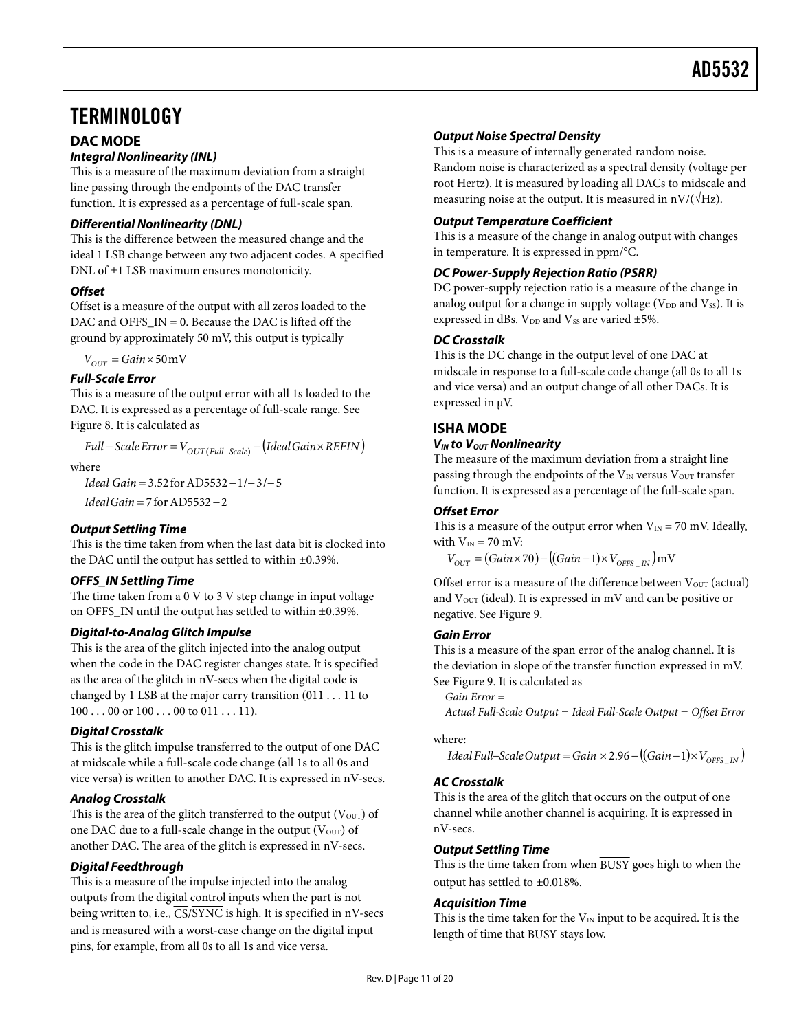# <span id="page-10-1"></span><span id="page-10-0"></span>**TERMINOLOGY**

# **DAC MODE**

#### **Integral Nonlinearity (INL)**

This is a measure of the maximum deviation from a straight line passing through the endpoints of the DAC transfer function. It is expressed as a percentage of full-scale span.

#### **Differential Nonlinearity (DNL)**

This is the difference between the measured change and the ideal 1 LSB change between any two adjacent codes. A specified DNL of ±1 LSB maximum ensures monotonicity.

#### **Offset**

Offset is a measure of the output with all zeros loaded to the DAC and OFFS\_IN =  $0.$  Because the DAC is lifted off the ground by approximately 50 mV, this output is typically

 $V_{OUT} = Gain \times 50$  mV

#### **Full-Scale Error**

This is a measure of the output error with all 1s loaded to the DAC. It is expressed as a percentage of full-scale range. See [Figure 8](#page-9-0). It is calculated as

 $Full-Scale Error = V_{OUT(Full-Scale)} - (Ideal Gain \times REFIN)$ 

where

*Ideal Gain* = 3.52 for AD5532 − 1/−3/−5

*Ideal Gain* = 7 for AD5532 – 2

## **Output Settling Time**

This is the time taken from when the last data bit is clocked into the DAC until the output has settled to within ±0.39%.

#### **OFFS\_IN Settling Time**

The time taken from a 0 V to 3 V step change in input voltage on OFFS\_IN until the output has settled to within ±0.39%.

#### **Digital-to-Analog Glitch Impulse**

This is the area of the glitch injected into the analog output when the code in the DAC register changes state. It is specified as the area of the glitch in nV-secs when the digital code is changed by 1 LSB at the major carry transition (011 . . . 11 to  $100...00$  or  $100...00$  to  $011...11$ .

## **Digital Crosstalk**

This is the glitch impulse transferred to the output of one DAC at midscale while a full-scale code change (all 1s to all 0s and vice versa) is written to another DAC. It is expressed in nV-secs.

#### **Analog Crosstalk**

This is the area of the glitch transferred to the output ( $V<sub>OUT</sub>$ ) of one DAC due to a full-scale change in the output  $(V<sub>OUT</sub>)$  of another DAC. The area of the glitch is expressed in nV-secs.

## **Digital Feedthrough**

This is a measure of the impulse injected into the analog outputs from the digital control inputs when the part is not being written to, i.e.,  $\overline{CS/SYNC}$  is high. It is specified in nV-secs and is measured with a worst-case change on the digital input pins, for example, from all 0s to all 1s and vice versa.

## **Output Noise Spectral Density**

This is a measure of internally generated random noise. Random noise is characterized as a spectral density (voltage per root Hertz). It is measured by loading all DACs to midscale and measuring noise at the output. It is measured in  $nV/(\sqrt{Hz})$ .

#### **Output Temperature Coefficient**

This is a measure of the change in analog output with changes in temperature. It is expressed in ppm/°C.

### **DC Power-Supply Rejection Ratio (PSRR)**

DC power-supply rejection ratio is a measure of the change in analog output for a change in supply voltage ( $V_{DD}$  and  $V_{SS}$ ). It is expressed in dBs.  $V_{DD}$  and  $V_{SS}$  are varied  $\pm 5\%$ .

#### **DC Crosstalk**

This is the DC change in the output level of one DAC at midscale in response to a full-scale code change (all 0s to all 1s and vice versa) and an output change of all other DACs. It is expressed in μV.

## **ISHA MODE**

#### **V<sub>IN</sub>** to V<sub>OUT</sub> Nonlinearity

The measure of the maximum deviation from a straight line passing through the endpoints of the  $V_{IN}$  versus  $V_{OUT}$  transfer function. It is expressed as a percentage of the full-scale span.

#### **Offset Error**

This is a measure of the output error when  $V_{IN} = 70$  mV. Ideally, with  $V_{IN} = 70$  mV:

 $V_{OUT} = (Gain \times 70) - ((Gain - 1) \times V_{OFFS-N} )$  *INV* 

Offset error is a measure of the difference between  $V<sub>OUT</sub>$  (actual) and  $\mathrm{V_{OUT}}$  (ideal). It is expressed in mV and can be positive or negative. See [Figure 9.](#page-9-1)

#### **Gain Error**

This is a measure of the span error of the analog channel. It is the deviation in slope of the transfer function expressed in mV. See [Figure 9.](#page-9-1) It is calculated as

```
Gain Error =
```
*Actual Full-Scale Output − Ideal Full-Scale Output − Offset Error* 

where:

 $Ideal Full-Scale Output = Gain \times 2.96 - ((Gain - 1) \times V_{OEES - IN})$ 

## **AC Crosstalk**

This is the area of the glitch that occurs on the output of one channel while another channel is acquiring. It is expressed in nV-secs.

#### **Output Settling Time**

This is the time taken from when BUSY goes high to when the output has settled to ±0.018%.

#### **Acquisition Time**

This is the time taken for the  $V_{IN}$  input to be acquired. It is the length of time that BUSY stays low.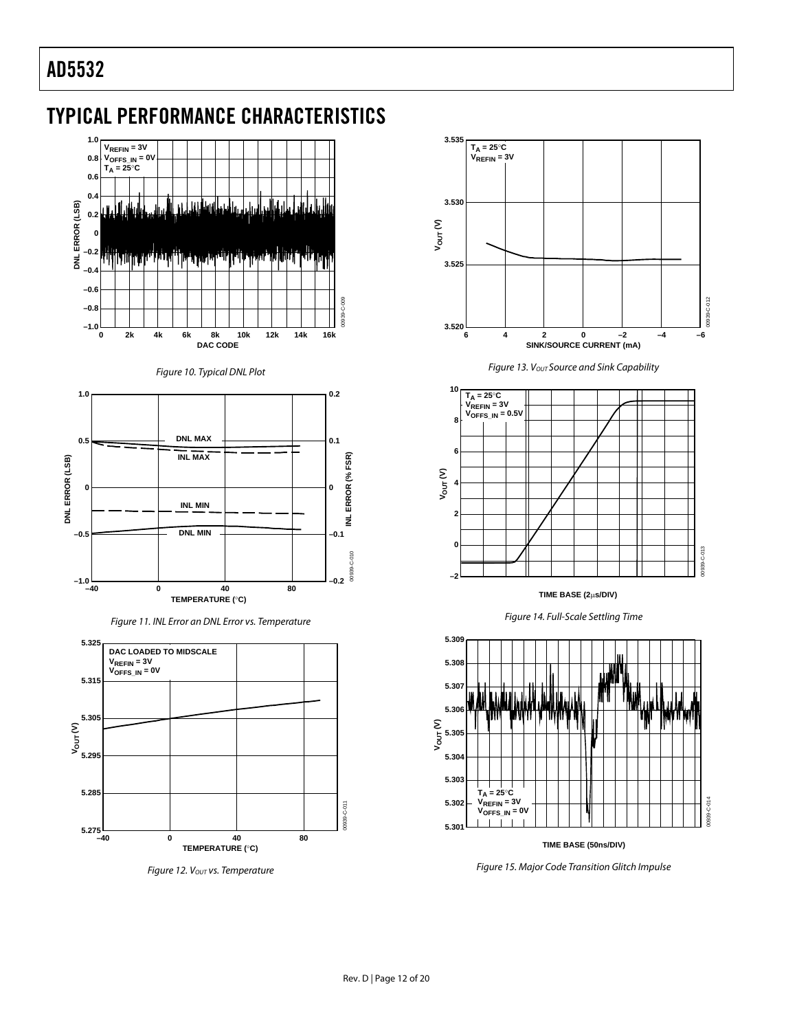# <span id="page-11-0"></span>TYPICAL PERFORMANCE CHARACTERISTICS







Figure 11. INL Error an DNL Error vs. Temperature



Figure 12. Vout vs. Temperature



Figure 13. Vout Source and Sink Capability



**TIME BASE (2**μ**s/DIV)**





**TIME BASE (50ns/DIV)**

Figure 15. Major Code Transition Glitch Impulse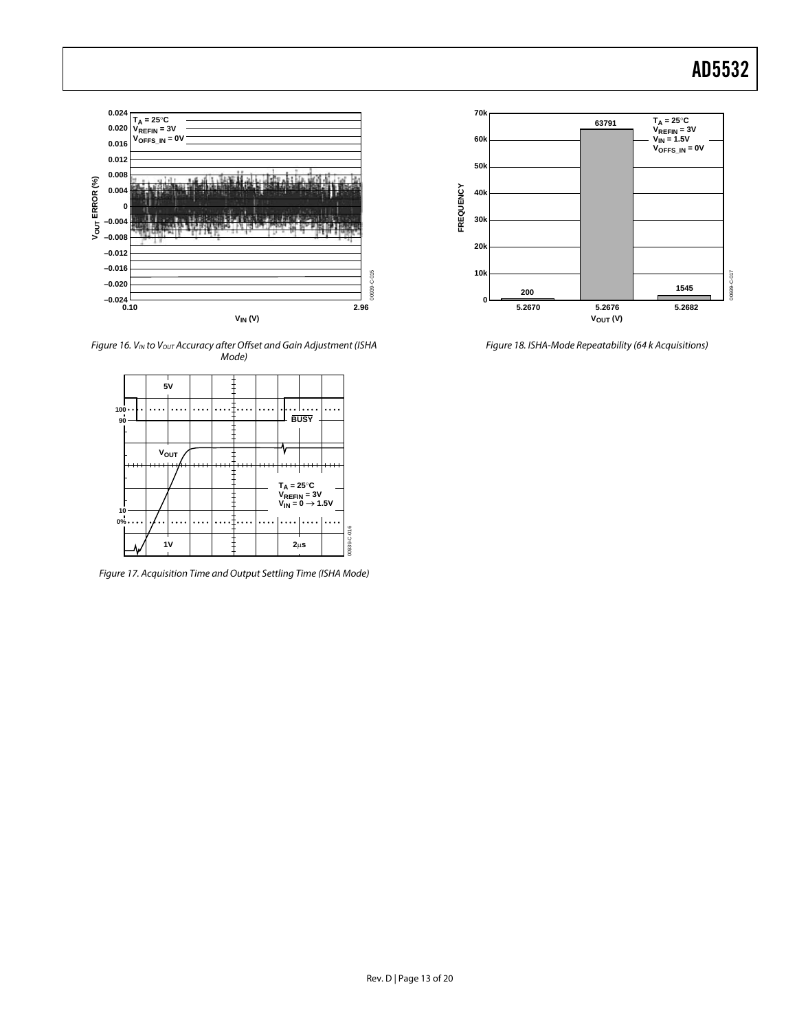

Figure 16. VIN to Vout Accuracy after Offset and Gain Adjustment (ISHA Mode)



Figure 17. Acquisition Time and Output Settling Time (ISHA Mode)



Figure 18. ISHA-Mode Repeatability (64 k Acquisitions)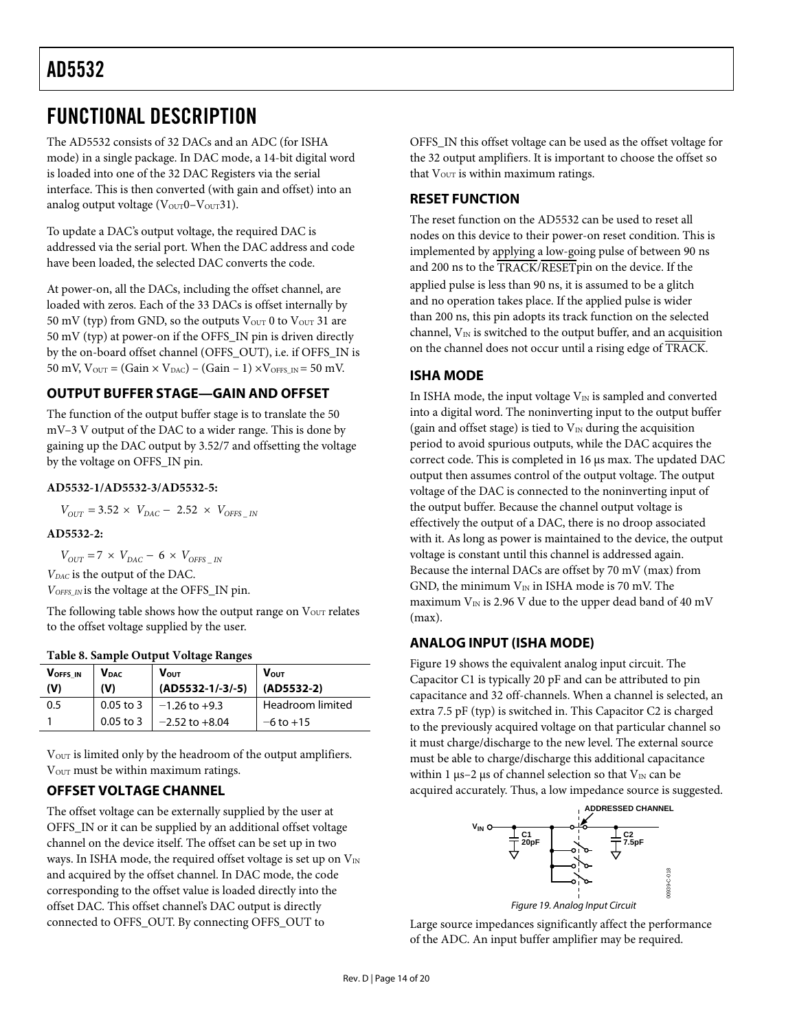# <span id="page-13-2"></span><span id="page-13-0"></span>FUNCTIONAL DESCRIPTION

The AD5532 consists of 32 DACs and an ADC (for ISHA mode) in a single package. In DAC mode, a 14-bit digital word is loaded into one of the 32 DAC Registers via the serial interface. This is then converted (with gain and offset) into an analog output voltage ( $V<sub>OUT</sub>0-V<sub>OUT</sub>31$ ).

To update a DAC's output voltage, the required DAC is addressed via the serial port. When the DAC address and code have been loaded, the selected DAC converts the code.

At power-on, all the DACs, including the offset channel, are loaded with zeros. Each of the 33 DACs is offset internally by 50 mV (typ) from GND, so the outputs  $V_{OUT}$  0 to  $V_{OUT}$  31 are 50 mV (typ) at power-on if the OFFS\_IN pin is driven directly by the on-board offset channel (OFFS\_OUT), i.e. if OFFS\_IN is 50 mV,  $V_{OUT} = (Gain \times V_{DAC}) - (Gain - 1) \times V_{OFFS\_IN} = 50$  mV.

# **OUTPUT BUFFER STAGE—GAIN AND OFFSET**

The function of the output buffer stage is to translate the 50 mV–3 V output of the DAC to a wider range. This is done by gaining up the DAC output by 3.52/7 and offsetting the voltage by the voltage on OFFS\_IN pin.

#### **AD5532-1/AD5532-3/AD5532-5:**

 $V_{OUT} = 3.52 \times V_{DAC} - 2.52 \times V_{OFFS}$  <sub>IN</sub>

#### **AD5532-2:**

 $V_{OUT}$  = 7 ×  $V_{DAC}$  – 6 ×  $V_{OFFS}$  *IN VDAC* is the output of the DAC. *VOFFS\_IN* is the voltage at the OFFS\_IN pin.

The following table shows how the output range on  $V<sub>OUT</sub>$  relates to the offset voltage supplied by the user.

<span id="page-13-1"></span>

| VOFFS IN<br>(V) | <b>V</b> <sub>DAC</sub><br>(V) | <b>Vout</b><br>$(AD5532-1/-3/-5)$ | <b>V</b> <sub>out</sub><br>(AD5532-2) |
|-----------------|--------------------------------|-----------------------------------|---------------------------------------|
| 0.5             | $0.05$ to 3                    | $-1.26$ to $+9.3$                 | Headroom limited                      |
|                 | $0.05$ to 3                    | $-2.52$ to $+8.04$                | $-6$ to $+15$                         |

 $\rm V_{\rm OUT}$  is limited only by the headroom of the output amplifiers. V<sub>OUT</sub> must be within maximum ratings.

# **OFFSET VOLTAGE CHANNEL**

<span id="page-13-3"></span>The offset voltage can be externally supplied by the user at OFFS\_IN or it can be supplied by an additional offset voltage channel on the device itself. The offset can be set up in two ways. In ISHA mode, the required offset voltage is set up on  $V_{IN}$ and acquired by the offset channel. In DAC mode, the code corresponding to the offset value is loaded directly into the offset DAC. This offset channel's DAC output is directly connected to OFFS\_OUT. By connecting OFFS\_OUT to

OFFS\_IN this offset voltage can be used as the offset voltage for the 32 output amplifiers. It is important to choose the offset so that  $V<sub>OUT</sub>$  is within maximum ratings.

# **RESET FUNCTION**

The reset function on the AD5532 can be used to reset all nodes on this device to their power-on reset condition. This is implemented by applying a low-going pulse of between 90 ns and 200 ns to the TRACK/RESETpin on the device. If the applied pulse is less than 90 ns, it is assumed to be a glitch and no operation takes place. If the applied pulse is wider than 200 ns, this pin adopts its track function on the selected channel,  $V_{IN}$  is switched to the output buffer, and an acquisition on the channel does not occur until a rising edge of TRACK.

# **ISHA MODE**

In ISHA mode, the input voltage  $V_{\text{IN}}$  is sampled and converted into a digital word. The noninverting input to the output buffer (gain and offset stage) is tied to  $V_{IN}$  during the acquisition period to avoid spurious outputs, while the DAC acquires the correct code. This is completed in 16 μs max. The updated DAC output then assumes control of the output voltage. The output voltage of the DAC is connected to the noninverting input of the output buffer. Because the channel output voltage is effectively the output of a DAC, there is no droop associated with it. As long as power is maintained to the device, the output voltage is constant until this channel is addressed again. Because the internal DACs are offset by 70 mV (max) from GND, the minimum  $V_{IN}$  in ISHA mode is 70 mV. The maximum  $V_{IN}$  is 2.96 V due to the upper dead band of 40 mV (max).

# **ANALOG INPUT (ISHA MODE)**

[Figure 19](#page-13-3) shows the equivalent analog input circuit. The Capacitor C1 is typically 20 pF and can be attributed to pin capacitance and 32 off-channels. When a channel is selected, an extra 7.5 pF (typ) is switched in. This Capacitor C2 is charged to the previously acquired voltage on that particular channel so it must charge/discharge to the new level. The external source must be able to charge/discharge this additional capacitance within 1  $\mu$ s–2  $\mu$ s of channel selection so that V<sub>IN</sub> can be acquired accurately. Thus, a low impedance source is suggested.



Large source impedances significantly affect the performance of the ADC. An input buffer amplifier may be required.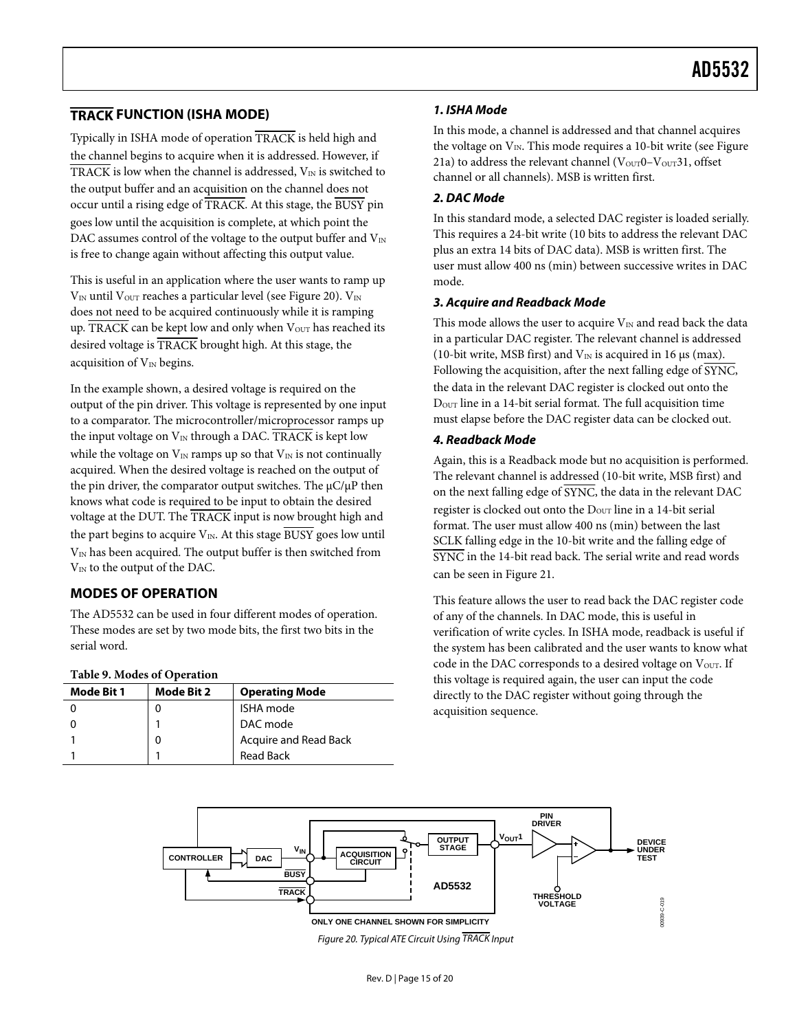# <span id="page-14-0"></span>**TRACK FUNCTION (ISHA MODE)**

Typically in ISHA mode of operation TRACK is held high and the channel begins to acquire when it is addressed. However, if TRACK is low when the channel is addressed,  $V_{\text{IN}}$  is switched to the output buffer and an acquisition on the channel does not occur until a rising edge of TRACK. At this stage, the BUSY pin goes low until the acquisition is complete, at which point the DAC assumes control of the voltage to the output buffer and  $V_{IN}$ is free to change again without affecting this output value.

This is useful in an application where the user wants to ramp up  $V_{\text{IN}}$  until  $V_{\text{OUT}}$  reaches a particular level (see [Figure 20](#page-14-1)).  $V_{\text{IN}}$ does not need to be acquired continuously while it is ramping up. TRACK can be kept low and only when Vour has reached its desired voltage is TRACK brought high. At this stage, the acquisition of  $V_{IN}$  begins.

In the example shown, a desired voltage is required on the output of the pin driver. This voltage is represented by one input to a comparator. The microcontroller/microprocessor ramps up the input voltage on  $V_{IN}$  through a DAC. TRACK is kept low while the voltage on  $V_{\text{IN}}$  ramps up so that  $V_{\text{IN}}$  is not continually acquired. When the desired voltage is reached on the output of the pin driver, the comparator output switches. The μC/μP then knows what code is required to be input to obtain the desired voltage at the DUT. The TRACK input is now brought high and the part begins to acquire  $V_{IN}$ . At this stage  $\overline{BUSY}$  goes low until  $V_{IN}$  has been acquired. The output buffer is then switched from  $V_{IN}$  to the output of the DAC.

# <span id="page-14-2"></span>**MODES OF OPERATION**

The AD5532 can be used in four different modes of operation. These modes are set by two mode bits, the first two bits in the serial word.

#### **Table 9. Modes of Operation**

| Mode Bit 1 | Mode Bit 2 | <b>Operating Mode</b> |  |
|------------|------------|-----------------------|--|
|            |            | <b>ISHA</b> mode      |  |
|            |            | DAC mode              |  |
|            |            | Acquire and Read Back |  |
|            |            | <b>Read Back</b>      |  |

#### **1. ISHA Mode**

In this mode, a channel is addressed and that channel acquires the voltage on  $V_{IN}$ . This mode requires a 10-bit write (see Figure [21](#page-15-1)a) to address the relevant channel  $(V<sub>OUT</sub>0-V<sub>OUT</sub>31, offset)$ channel or all channels). MSB is written first.

#### **2. DAC Mode**

In this standard mode, a selected DAC register is loaded serially. This requires a 24-bit write (10 bits to address the relevant DAC plus an extra 14 bits of DAC data). MSB is written first. The user must allow 400 ns (min) between successive writes in DAC mode.

#### **3. Acquire and Readback Mode**

This mode allows the user to acquire  $V_{IN}$  and read back the data in a particular DAC register. The relevant channel is addressed (10-bit write, MSB first) and  $V_{IN}$  is acquired in 16 μs (max). Following the acquisition, after the next falling edge of SYNC, the data in the relevant DAC register is clocked out onto the DOUT line in a 14-bit serial format. The full acquisition time must elapse before the DAC register data can be clocked out.

#### **4. Readback Mode**

Again, this is a Readback mode but no acquisition is performed. The relevant channel is addressed (10-bit write, MSB first) and on the next falling edge of SYNC, the data in the relevant DAC register is clocked out onto the D<sub>OUT</sub> line in a 14-bit serial format. The user must allow 400 ns (min) between the last SCLK falling edge in the 10-bit write and the falling edge of SYNC in the 14-bit read back. The serial write and read words can be seen in [Figure 21](#page-15-1).

This feature allows the user to read back the DAC register code of any of the channels. In DAC mode, this is useful in verification of write cycles. In ISHA mode, readback is useful if the system has been calibrated and the user wants to know what code in the DAC corresponds to a desired voltage on Vour. If this voltage is required again, the user can input the code directly to the DAC register without going through the acquisition sequence.

<span id="page-14-1"></span>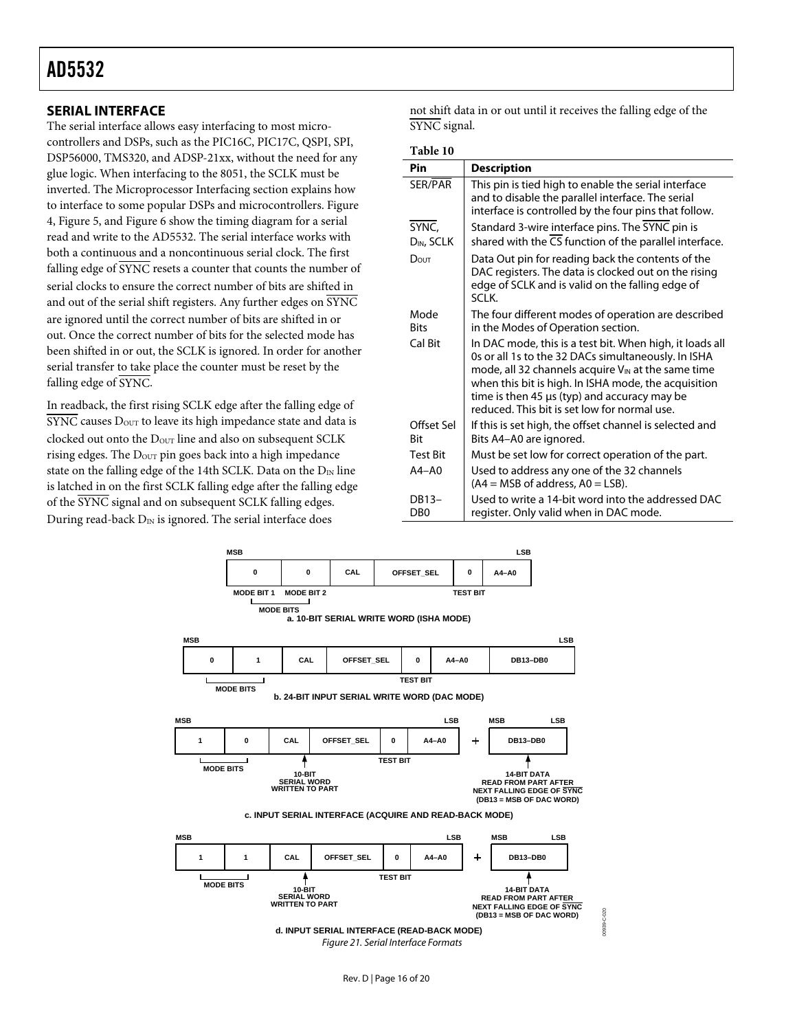# <span id="page-15-0"></span>**SERIAL INTERFACE**

The serial interface allows easy interfacing to most microcontrollers and DSPs, such as the PIC16C, PIC17C, QSPI, SPI, DSP56000, TMS320, and ADSP-21xx, without the need for any glue logic. When interfacing to the 8051, the SCLK must be inverted. The Microprocessor Interfacing section explains how to interface to some popular DSPs and microcontrollers. [Figure](#page-6-2)  [4,](#page-6-2) [Figure 5,](#page-6-3) and [Figure 6](#page-6-1) show the timing diagram for a serial read and write to the AD5532. The serial interface works with both a continuous and a noncontinuous serial clock. The first falling edge of  $\overline{\text{SYNC}}$  resets a counter that counts the number of serial clocks to ensure the correct number of bits are shifted in and out of the serial shift registers. Any further edges on SYNC are ignored until the correct number of bits are shifted in or out. Once the correct number of bits for the selected mode has been shifted in or out, the SCLK is ignored. In order for another serial transfer to take place the counter must be reset by the falling edge of SYNC.

In readback, the first rising SCLK edge after the falling edge of SYNC causes D<sub>OUT</sub> to leave its high impedance state and data is clocked out onto the D<sub>OUT</sub> line and also on subsequent SCLK rising edges. The  $D_{\text{OUT}}$  pin goes back into a high impedance state on the falling edge of the 14th SCLK. Data on the  $D_{IN}$  line is latched in on the first SCLK falling edge after the falling edge of the SYNC signal and on subsequent SCLK falling edges. During read-back  $D_{IN}$  is ignored. The serial interface does

not shift data in or out until it receives the falling edge of the SYNC signal.

| Table 10                  |                                                                                                                                                                                                                                                                                                                                    |
|---------------------------|------------------------------------------------------------------------------------------------------------------------------------------------------------------------------------------------------------------------------------------------------------------------------------------------------------------------------------|
| Pin                       | <b>Description</b>                                                                                                                                                                                                                                                                                                                 |
| SER/PAR                   | This pin is tied high to enable the serial interface<br>and to disable the parallel interface. The serial<br>interface is controlled by the four pins that follow.                                                                                                                                                                 |
| SYNC,                     | Standard 3-wire interface pins. The SYNC pin is                                                                                                                                                                                                                                                                                    |
| D <sub>IN</sub> , SCLK    | shared with the $\overline{CS}$ function of the parallel interface.                                                                                                                                                                                                                                                                |
| DOUT                      | Data Out pin for reading back the contents of the<br>DAC registers. The data is clocked out on the rising<br>edge of SCLK and is valid on the falling edge of<br>SCI K.                                                                                                                                                            |
| Mode<br><b>Bits</b>       | The four different modes of operation are described<br>in the Modes of Operation section.                                                                                                                                                                                                                                          |
| Cal Bit                   | In DAC mode, this is a test bit. When high, it loads all<br>Os or all 1s to the 32 DACs simultaneously. In ISHA<br>mode, all 32 channels acquire $V_{IN}$ at the same time<br>when this bit is high. In ISHA mode, the acquisition<br>time is then 45 µs (typ) and accuracy may be<br>reduced. This bit is set low for normal use. |
| Offset Sel<br><b>Bit</b>  | If this is set high, the offset channel is selected and<br>Bits A4-A0 are ignored.                                                                                                                                                                                                                                                 |
| <b>Test Bit</b>           | Must be set low for correct operation of the part.                                                                                                                                                                                                                                                                                 |
| $A4 - A0$                 | Used to address any one of the 32 channels<br>$(A4 = MSB of address, AO = LSB).$                                                                                                                                                                                                                                                   |
| DB13-<br>D <sub>B</sub> O | Used to write a 14-bit word into the addressed DAC<br>register. Only valid when in DAC mode.                                                                                                                                                                                                                                       |

<span id="page-15-1"></span>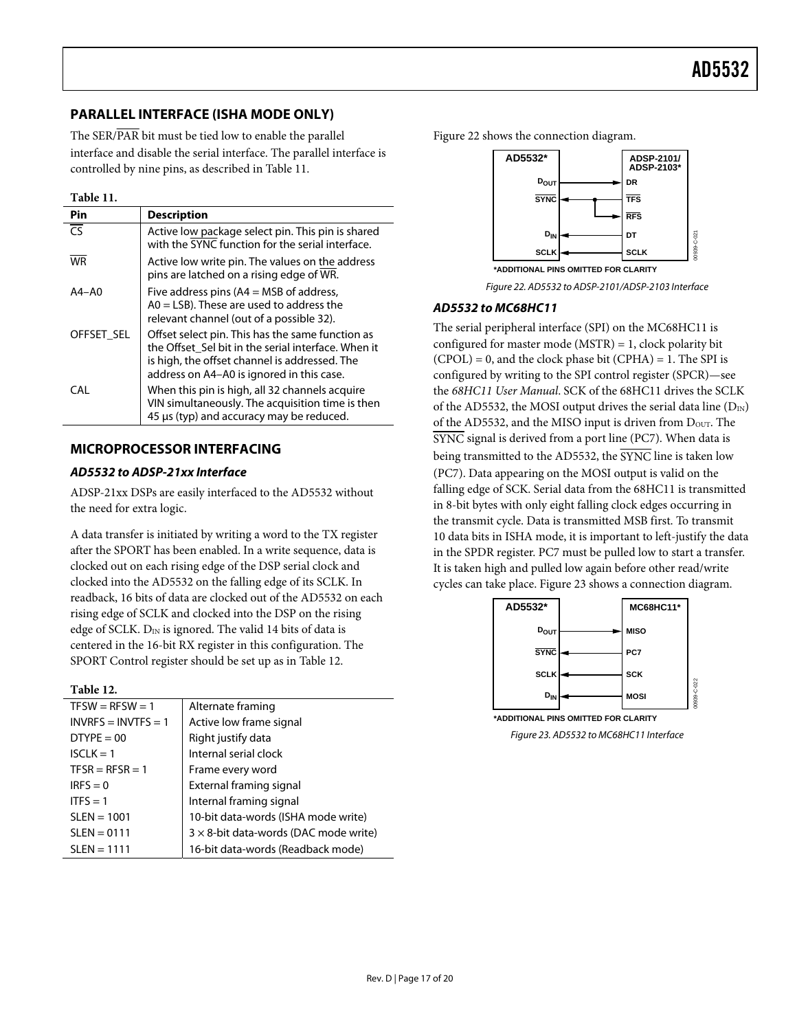# <span id="page-16-1"></span><span id="page-16-0"></span>**PARALLEL INTERFACE (ISHA MODE ONLY)**

The SER/PAR bit must be tied low to enable the parallel interface and disable the serial interface. The parallel interface is controlled by nine pins, as described in [Table 11](#page-16-2).

**Table 11.** 

<span id="page-16-4"></span><span id="page-16-2"></span>

| Pin        | <b>Description</b>                                                                                                                                                                                    |
|------------|-------------------------------------------------------------------------------------------------------------------------------------------------------------------------------------------------------|
| ਨ          | Active low package select pin. This pin is shared<br>with the SYNC function for the serial interface.                                                                                                 |
| <b>WR</b>  | Active low write pin. The values on the address<br>pins are latched on a rising edge of WR.                                                                                                           |
| $A4 - A0$  | Five address pins $(A4 = MSB$ of address,<br>$AO = LSB$ ). These are used to address the<br>relevant channel (out of a possible 32).                                                                  |
| OFFSET SEL | Offset select pin. This has the same function as<br>the Offset Sel bit in the serial interface. When it<br>is high, the offset channel is addressed. The<br>address on A4-A0 is ignored in this case. |
| CAL        | When this pin is high, all 32 channels acquire<br>VIN simultaneously. The acquisition time is then<br>45 µs (typ) and accuracy may be reduced.                                                        |

#### **MICROPROCESSOR INTERFACING**

#### **AD5532 to ADSP-21xx Interface**

ADSP-21xx DSPs are easily interfaced to the AD5532 without the need for extra logic.

A data transfer is initiated by writing a word to the TX register after the SPORT has been enabled. In a write sequence, data is clocked out on each rising edge of the DSP serial clock and clocked into the AD5532 on the falling edge of its SCLK. In readback, 16 bits of data are clocked out of the AD5532 on each rising edge of SCLK and clocked into the DSP on the rising edge of SCLK. D<sub>IN</sub> is ignored. The valid 14 bits of data is centered in the 16-bit RX register in this configuration. The SPORT Control register should be set up as in [Table 12](#page-16-3).

#### **Table 12.**

<span id="page-16-5"></span><span id="page-16-3"></span>

| $TFSW = RFSW = 1$     | Alternate framing                             |
|-----------------------|-----------------------------------------------|
| $INVRES = INVTFS = 1$ | Active low frame signal                       |
| $DTYPE = 00$          | Right justify data                            |
| $ISCLK = 1$           | Internal serial clock                         |
| $TFSR = RFSR = 1$     | Frame every word                              |
| $IRFS = 0$            | External framing signal                       |
| ITFS = $1$            | Internal framing signal                       |
| $SLEN = 1001$         | 10-bit data-words (ISHA mode write)           |
| $SLEN = 0111$         | $3 \times 8$ -bit data-words (DAC mode write) |
| $SLEN = 1111$         | 16-bit data-words (Readback mode)             |





Figure 22. AD5532 to ADSP-2101/ADSP-2103 Interface

#### **AD5532 to MC68HC11**

The serial peripheral interface (SPI) on the MC68HC11 is configured for master mode (MSTR) = 1, clock polarity bit  $(CPOL) = 0$ , and the clock phase bit  $(CPHA) = 1$ . The SPI is configured by writing to the SPI control register (SPCR)—see the *68HC11 User Manual*. SCK of the 68HC11 drives the SCLK of the AD5532, the MOSI output drives the serial data line  $(D_{IN})$ of the AD5532, and the MISO input is driven from  $D_{\text{OUT}}$ . The SYNC signal is derived from a port line (PC7). When data is being transmitted to the AD5532, the  $\overline{\text{SYNC}}$  line is taken low (PC7). Data appearing on the MOSI output is valid on the falling edge of SCK. Serial data from the 68HC11 is transmitted in 8-bit bytes with only eight falling clock edges occurring in the transmit cycle. Data is transmitted MSB first. To transmit 10 data bits in ISHA mode, it is important to left-justify the data in the SPDR register. PC7 must be pulled low to start a transfer. It is taken high and pulled low again before other read/write cycles can take place. [Figure 23](#page-16-5) shows a connection diagram.



Figure 23. AD5532 to MC68HC11 Interface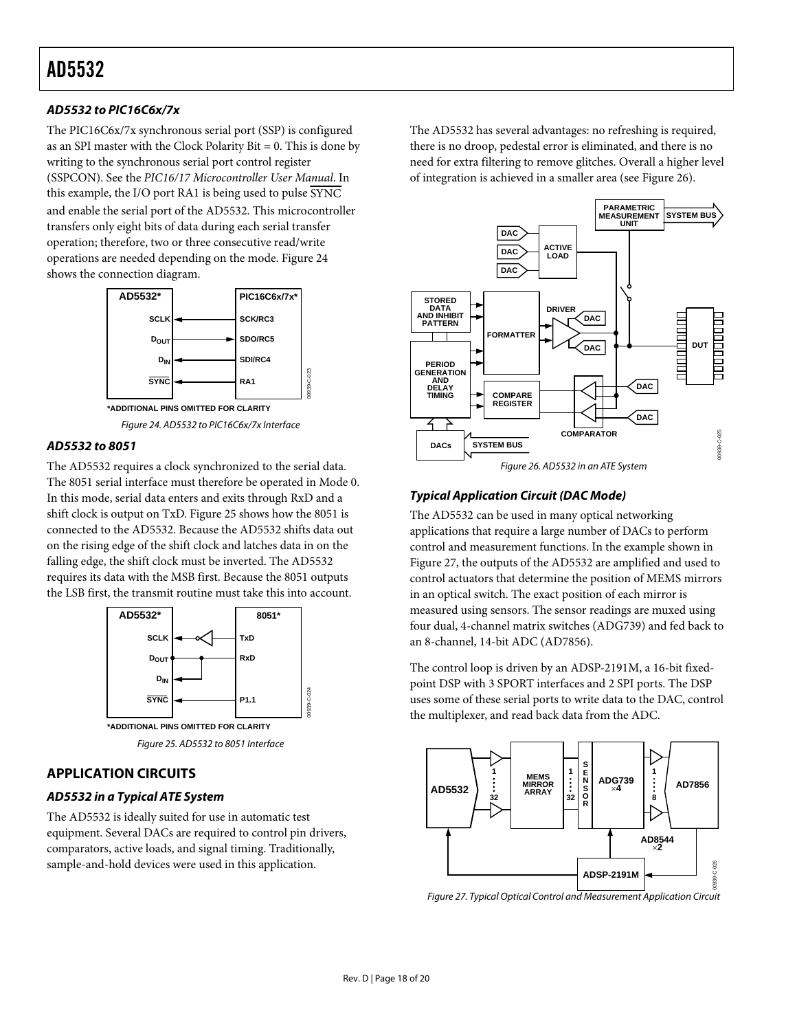### <span id="page-17-1"></span>**AD5532 to PIC16C6x/7x**

The PIC16C6x/7x synchronous serial port (SSP) is configured as an SPI master with the Clock Polarity Bit = 0. This is done by writing to the synchronous serial port control register (SSPCON). See the *PIC16/17 Microcontroller User Manual*. In this example, the I/O port RA1 is being used to pulse SYNC and enable the serial port of the AD5532. This microcontroller transfers only eight bits of data during each serial transfer operation; therefore, two or three consecutive read/write operations are needed depending on the mode. [Figure 24](#page-17-2) shows the connection diagram.



Figure 24. AD5532 to PIC16C6x/7x Interface

#### <span id="page-17-2"></span>**AD5532 to 8051**

<span id="page-17-4"></span>The AD5532 requires a clock synchronized to the serial data. The 8051 serial interface must therefore be operated in Mode 0. In this mode, serial data enters and exits through RxD and a shift clock is output on TxD. [Figure 25](#page-17-3) shows how the 8051 is connected to the AD5532. Because the AD5532 shifts data out on the rising edge of the shift clock and latches data in on the falling edge, the shift clock must be inverted. The AD5532 requires its data with the MSB first. Because the 8051 outputs the LSB first, the transmit routine must take this into account.



## <span id="page-17-3"></span>**APPLICATION CIRCUITS**

#### **AD5532 in a Typical ATE System**

<span id="page-17-0"></span>The AD5532 is ideally suited for use in automatic test equipment. Several DACs are required to control pin drivers, comparators, active loads, and signal timing. Traditionally, sample-and-hold devices were used in this application.

The AD5532 has several advantages: no refreshing is required, there is no droop, pedestal error is eliminated, and there is no need for extra filtering to remove glitches. Overall a higher level of integration is achieved in a smaller area (see [Figure 26](#page-17-4)).



#### **Typical Application Circuit (DAC Mode)**

The AD5532 can be used in many optical networking applications that require a large number of DACs to perform control and measurement functions. In the example shown in [Figure 27](#page-17-0), the outputs of the AD5532 are amplified and used to control actuators that determine the position of MEMS mirrors in an optical switch. The exact position of each mirror is measured using sensors. The sensor readings are muxed using four dual, 4-channel matrix switches (ADG739) and fed back to an 8-channel, 14-bit ADC (AD7856).

The control loop is driven by an ADSP-2191M, a 16-bit fixedpoint DSP with 3 SPORT interfaces and 2 SPI ports. The DSP uses some of these serial ports to write data to the DAC, control the multiplexer, and read back data from the ADC.



Figure 27. Typical Optical Control and Measurement Application Circuit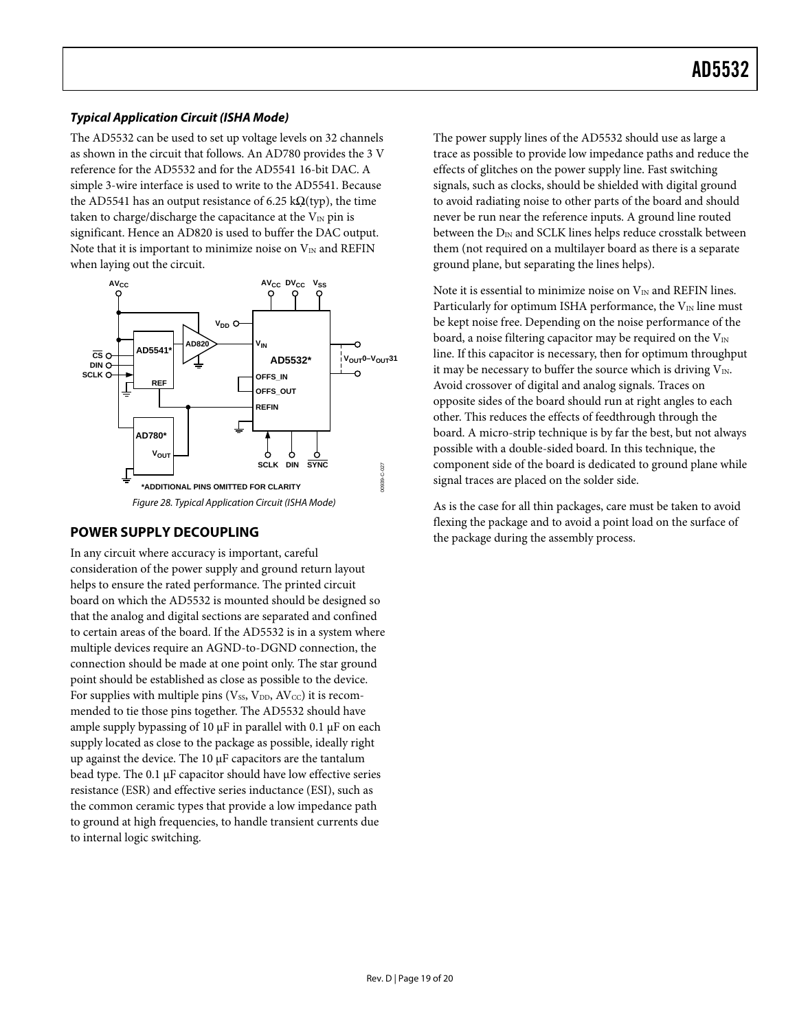## <span id="page-18-0"></span>**Typical Application Circuit (ISHA Mode)**

The AD5532 can be used to set up voltage levels on 32 channels as shown in the circuit that follows. An AD780 provides the 3 V reference for the AD5532 and for the AD5541 16-bit DAC. A simple 3-wire interface is used to write to the AD5541. Because the AD5541 has an output resistance of 6.25 k $\Omega$ (typ), the time taken to charge/discharge the capacitance at the  $V_{IN}$  pin is significant. Hence an AD820 is used to buffer the DAC output. Note that it is important to minimize noise on  $V_{IN}$  and REFIN when laying out the circuit.



### **POWER SUPPLY DECOUPLING**

In any circuit where accuracy is important, careful consideration of the power supply and ground return layout helps to ensure the rated performance. The printed circuit board on which the AD5532 is mounted should be designed so that the analog and digital sections are separated and confined to certain areas of the board. If the AD5532 is in a system where multiple devices require an AGND-to-DGND connection, the connection should be made at one point only. The star ground point should be established as close as possible to the device. For supplies with multiple pins ( $V_{SS}$ ,  $V_{DD}$ ,  $AV_{CC}$ ) it is recommended to tie those pins together. The AD5532 should have ample supply bypassing of 10 μF in parallel with 0.1 μF on each supply located as close to the package as possible, ideally right up against the device. The 10 μF capacitors are the tantalum bead type. The 0.1 μF capacitor should have low effective series resistance (ESR) and effective series inductance (ESI), such as the common ceramic types that provide a low impedance path to ground at high frequencies, to handle transient currents due to internal logic switching.

The power supply lines of the AD5532 should use as large a trace as possible to provide low impedance paths and reduce the effects of glitches on the power supply line. Fast switching signals, such as clocks, should be shielded with digital ground to avoid radiating noise to other parts of the board and should never be run near the reference inputs. A ground line routed between the  $D_{IN}$  and SCLK lines helps reduce crosstalk between them (not required on a multilayer board as there is a separate ground plane, but separating the lines helps).

Note it is essential to minimize noise on  $V_{\text{IN}}$  and REFIN lines. Particularly for optimum ISHA performance, the  $V_{IN}$  line must be kept noise free. Depending on the noise performance of the board, a noise filtering capacitor may be required on the  $V_{IN}$ line. If this capacitor is necessary, then for optimum throughput it may be necessary to buffer the source which is driving  $V_{IN}$ . Avoid crossover of digital and analog signals. Traces on opposite sides of the board should run at right angles to each other. This reduces the effects of feedthrough through the board. A micro-strip technique is by far the best, but not always possible with a double-sided board. In this technique, the component side of the board is dedicated to ground plane while signal traces are placed on the solder side.

As is the case for all thin packages, care must be taken to avoid flexing the package and to avoid a point load on the surface of the package during the assembly process.